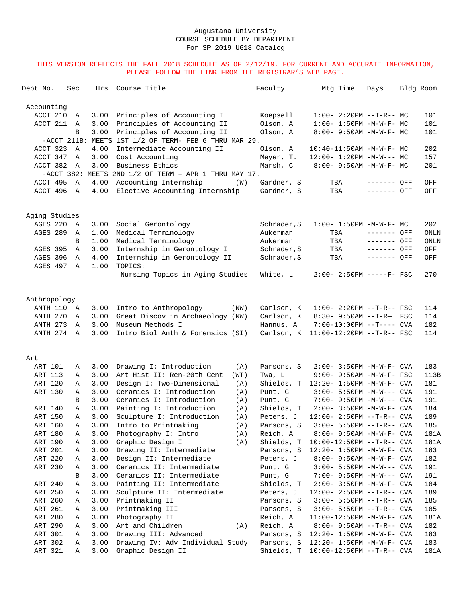| Dept No.             | Sec               | Hrs          | Course Title                                                   | Faculty                  | Mtg Time                           | Days                       | Bldg Room  |
|----------------------|-------------------|--------------|----------------------------------------------------------------|--------------------------|------------------------------------|----------------------------|------------|
| Accounting           |                   |              |                                                                |                          |                                    |                            |            |
| ACCT 210             | Α                 | 3.00         | Principles of Accounting I                                     | Koepsell                 | $1:00-2:20PM --T-R--MC$            |                            | 101        |
| ACCT 211             | Α                 | 3.00         | Principles of Accounting II                                    | Olson, A                 | $1:00 - 1:50PM - M - W - F - MC$   |                            | 101        |
|                      | B                 | 3.00         | Principles of Accounting II                                    | Olson, A                 | $8:00 - 9:50AM - M - W - F - MC$   |                            | 101        |
|                      |                   |              | -ACCT 211B: MEETS 1ST 1/2 OF TERM- FEB 6 THRU MAR 29.          |                          |                                    |                            |            |
| ACCT 323             | A                 | 4.00         | Intermediate Accounting II                                     | Olson, A                 | 10:40-11:50AM -M-W-F- MC           |                            | 202        |
| ACCT 347             | Α                 | 3.00         | Cost Accounting                                                | Meyer, T.                | $12:00 - 1:20PM -M-W--- MC$        |                            | 157        |
| ACCT 382             | Α                 | 3.00         | Business Ethics                                                | Marsh, C                 | 8:00- 9:50AM -M-W-F- MC            |                            | 201        |
|                      |                   |              | -ACCT 382: MEETS 2ND 1/2 OF TERM - APR 1 THRU MAY 17.          |                          |                                    |                            |            |
| ACCT 495<br>ACCT 496 | A<br>$\mathbb{A}$ | 4.00<br>4.00 | Accounting Internship<br>(W)<br>Elective Accounting Internship | Gardner, S<br>Gardner, S | TBA<br>TBA                         | ------- OFF<br>------- OFF | OFF<br>OFF |
|                      |                   |              |                                                                |                          |                                    |                            |            |
| Aging Studies        |                   |              |                                                                |                          |                                    |                            |            |
| AGES 220             | Α                 | 3.00         | Social Gerontology                                             | Schrader, S              | $1:00 - 1:50PM - M - W - F - MC$   |                            | 202        |
| <b>AGES 289</b>      | Α                 | 1.00         | Medical Terminology                                            | Aukerman                 | TBA                                | ------- OFF                | ONLN       |
|                      | B                 | 1.00         | Medical Terminology                                            | Aukerman                 | TBA                                | ------- OFF                | ONLN       |
| AGES 395             | Α                 | 3.00         | Internship in Gerontology I                                    | Schrader, S              | TBA                                | ------- OFF                | OFF        |
| AGES 396             | Α                 | 4.00         | Internship in Gerontology II                                   | Schrader, S              | TBA                                | ------- OFF                | OFF        |
| AGES 497             | Α                 | 1.00         | TOPICS:                                                        |                          |                                    |                            |            |
|                      |                   |              | Nursing Topics in Aging Studies                                | White, L                 | $2:00 - 2:50PM$ -----F- FSC        |                            | 270        |
| Anthropology         |                   |              |                                                                |                          |                                    |                            |            |
| ANTH 110 A           |                   | 3.00         | Intro to Anthropology<br>(NW)                                  | Carlson, K               | $1:00 - 2:20PM -T-R--FSC$          |                            | 114        |
| ANTH 270             | Α                 | 3.00         | Great Discov in Archaeology (NW)                               | Carlson, K               | 8:30- 9:50AM --T-R- FSC            |                            | 114        |
| ANTH 273             | Α                 | 3.00         | Museum Methods I                                               | Hannus, A                | $7:00-10:00PM$ --T---- CVA         |                            | 182        |
| ANTH 274             | Α                 | 3.00         | Intro Biol Anth & Forensics (SI)                               | Carlson, K               | $11:00-12:20PM$ --T-R-- FSC        |                            | 114        |
| Art                  |                   |              |                                                                |                          |                                    |                            |            |
| ART 101              | Α                 | 3.00         | Drawing I: Introduction<br>(A)                                 | Parsons, S               | 2:00- 3:50PM -M-W-F- CVA           |                            | 183        |
| ART 113              | Α                 | 3.00         | Art Hist II: Ren-20th Cent<br>(WT)                             | Twa, L                   | 9:00- 9:50AM -M-W-F- FSC           |                            | 113B       |
| ART 120              | Α                 | 3.00         | Design I: Two-Dimensional<br>(A)                               | Shields, T               | $12:20 - 1:50PM - M - W - F - CVA$ |                            | 181        |
| ART 130              | Α                 | 3.00         | Ceramics I: Introduction<br>(A)                                | Punt, G                  | $3:00 - 5:50PM -M-W---$ CVA        |                            | 191        |
|                      | B                 | 3.00         | Ceramics I: Introduction<br>(A)                                | Punt, G                  | 7:00- 9:50PM -M-W--- CVA           |                            | 191        |
| ART 140              | Α                 | 3.00         | Painting I: Introduction<br>(A)                                | Shields, T               | 2:00- 3:50PM -M-W-F- CVA           |                            | 184        |
| ART 150              | Α                 | 3.00         | Sculpture I: Introduction<br>(A)                               | Peters, J                | $12:00 - 2:50PM -T-R--CVA$         |                            | 189        |
| ART 160              | Α                 | 3.00         | Intro to Printmaking<br>(A)                                    | Parsons, S               | $3:00 - 5:50PM -T-R--CVA$          |                            | 185        |
| ART 180              | Α                 | 3.00         | Photography I: Intro<br>(A)                                    | Reich, A                 | 8:00- 9:50AM -M-W-F- CVA           |                            | 181A       |
| ART 190              | Α                 | 3.00         | Graphic Design I<br>(A)                                        | Shields, T               | $10:00-12:50PM$ --T-R-- CVA        |                            | 181A       |
| ART 201              | Α                 | 3.00         | Drawing II: Intermediate                                       | Parsons, S               | $12:20 - 1:50PM - M - W - F - CVA$ |                            | 183        |
| ART 220              | Α                 | 3.00         | Design II: Intermediate                                        | Peters, J                | 8:00- 9:50AM -M-W-F- CVA           |                            | 182        |
| ART 230              | Α                 | 3.00         | Ceramics II: Intermediate                                      | Punt, G                  | $3:00 - 5:50PM -M-W---$ CVA        |                            | 191        |
|                      | В                 | 3.00         | Ceramics II: Intermediate                                      | Punt, G                  | 7:00- 9:50PM -M-W--- CVA           |                            | 191        |
| ART 240              | Α                 | 3.00         | Painting II: Intermediate                                      | Shields, T               | 2:00- 3:50PM -M-W-F- CVA           |                            | 184        |
| ART 250              | Α                 | 3.00         | Sculpture II: Intermediate                                     | Peters, J                | $12:00 - 2:50PM -T-R--CVA$         |                            | 189        |
| ART 260              | Α                 | 3.00         | Printmaking II                                                 | Parsons, S               | $3:00 - 5:50PM -T-R--CVA$          |                            | 185        |
| ART 261              | Α                 | 3.00         | Printmaking III                                                | Parsons, S               | $3:00 - 5:50PM -T-R--CVA$          |                            | 185        |
| ART 280              | Α                 | 3.00         | Photography II                                                 | Reich, A                 | $11:00-12:50PM -M-W-F-CVA$         |                            | 181A       |
| ART 290              | Α                 | 3.00         | Art and Children<br>(A)                                        | Reich, A                 | $8:00 - 9:50AM -T-R--CVA$          |                            | 182        |
| ART 301              | Α                 | 3.00         | Drawing III: Advanced                                          | Parsons, S               | $12:20 - 1:50PM - M - W - F - CVA$ |                            | 183        |
| ART 302              | Α                 | 3.00         | Drawing IV: Adv Individual Study                               | Parsons, S               | 12:20- 1:50PM -M-W-F- CVA          |                            | 183        |
| ART 321              | Α                 | 3.00         | Graphic Design II                                              | Shields, T               | 10:00-12:50PM --T-R-- CVA          |                            | 181A       |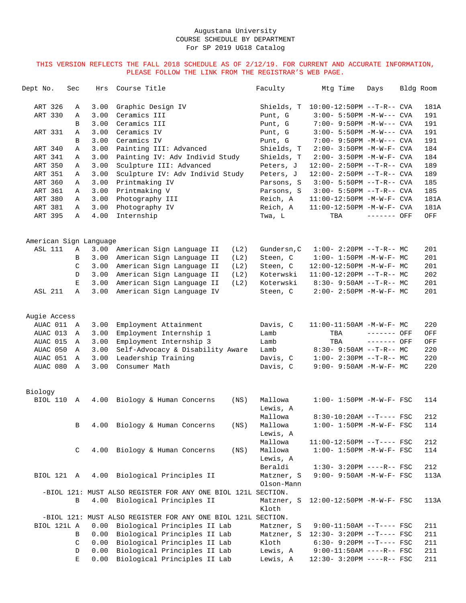| Dept No.               | Sec          | Hrs  | Course Title                                                 | Faculty             | Mtg Time                          | Days        | Bldg Room |      |
|------------------------|--------------|------|--------------------------------------------------------------|---------------------|-----------------------------------|-------------|-----------|------|
| ART 326                | Α            | 3.00 | Graphic Design IV                                            | Shields, T          | $10:00-12:50PM$ --T-R-- CVA       |             |           | 181A |
| ART 330                | Α            | 3.00 | Ceramics III                                                 | Punt, G             | $3:00-5:50PM -M-W---$ CVA         |             |           | 191  |
|                        | B            | 3.00 | Ceramics III                                                 | Punt, G             | 7:00- 9:50PM -M-W--- CVA          |             |           | 191  |
| ART 331                | Α            | 3.00 | Ceramics IV                                                  | Punt, G             | $3:00 - 5:50PM -M-W---$ CVA       |             |           | 191  |
|                        | B            | 3.00 | Ceramics IV                                                  | Punt, G             | 7:00- 9:50PM -M-W--- CVA          |             |           | 191  |
| ART 340                | Α            | 3.00 | Painting III: Advanced                                       | Shields, T          | 2:00- 3:50PM -M-W-F- CVA          |             |           | 184  |
| ART 341                | Α            | 3.00 | Painting IV: Adv Individ Study                               | Shields, T          | 2:00- 3:50PM -M-W-F- CVA          |             |           | 184  |
| ART 350                | Α            | 3.00 | Sculpture III: Advanced                                      | Peters, J           | 12:00- 2:50PM --T-R-- CVA         |             |           | 189  |
| ART 351                | Α            | 3.00 | Sculpture IV: Adv Individ Study                              | Peters, J           | 12:00- 2:50PM --T-R-- CVA         |             |           | 189  |
| ART 360                | Α            | 3.00 | Printmaking IV                                               | Parsons, S          | $3:00 - 5:50PM -T-R--CVA$         |             |           | 185  |
| ART 361                | Α            | 3.00 | Printmaking V                                                | Parsons, S          | $3:00 - 5:50PM -T-R--CVA$         |             |           | 185  |
| ART 380                | Α            | 3.00 | Photography III                                              | Reich, A            | $11:00-12:50PM -M-W-F-CVA$        |             |           | 181A |
| ART 381                | Α            | 3.00 | Photography IV                                               | Reich, A            | $11:00-12:50PM -M-W-F-CVA$        |             |           | 181A |
| ART 395                | Α            | 4.00 | Internship                                                   | Twa, L              | TBA                               | ------- OFF |           | OFF  |
| American Sign Language |              |      |                                                              |                     |                                   |             |           |      |
| <b>ASL 111</b>         | Α            | 3.00 | American Sign Language II<br>(L2)                            | Gundersn, C         | $1:00-2:20PM$ --T-R-- MC          |             |           | 201  |
|                        | В            | 3.00 | American Sign Language II<br>(L2)                            | Steen, C            | $1:00 - 1:50PM - M - W - F - MC$  |             |           | 201  |
|                        | C            | 3.00 | American Sign Language II<br>(L2)                            | Steen, C            | 12:00-12:50PM -M-W-F- MC          |             |           | 201  |
|                        | D            | 3.00 | American Sign Language II<br>(L2)                            | Koterwski           | $11:00-12:20PM$ --T-R-- MC        |             |           | 202  |
|                        | Е            | 3.00 | (L2)<br>American Sign Language II                            | Koterwski           | 8:30- 9:50AM --T-R-- MC           |             |           | 201  |
| <b>ASL 211</b>         | Α            | 3.00 | American Sign Language IV                                    | Steen, C            | $2:00 - 2:50PM -M-W-F - MC$       |             |           | 201  |
| Augie Access           |              |      |                                                              |                     |                                   |             |           |      |
| AUAC 011               | A            | 3.00 | Employment Attainment                                        | Davis, C            | $11:00-11:50AM$ -M-W-F- MC        |             |           | 220  |
| AUAC 013               | A            | 3.00 | Employment Internship 1                                      | Lamb                | TBA                               | ------- OFF |           | OFF  |
| AUAC 015               | $\mathbb{A}$ | 3.00 | Employment Internship 3                                      | Lamb                | TBA                               | ------- OFF |           | OFF  |
| AUAC 050               | Α            | 3.00 | Self-Advocacy & Disability Aware                             | Lamb                | $8:30 - 9:50AM -T-R-- MC$         |             |           | 220  |
| AUAC 051               | Α            | 3.00 | Leadership Training                                          | Davis, C            | $1:00-2:30PM -T-R--MC$            |             |           | 220  |
| AUAC 080               | A            | 3.00 | Consumer Math                                                | Davis, C            | 9:00- 9:50AM -M-W-F- MC           |             |           | 220  |
| Biology                |              |      |                                                              |                     |                                   |             |           |      |
| BIOL 110               | A            | 4.00 | Biology & Human Concerns<br>(NS)                             | Mallowa             | $1:00 - 1:50PM - M - W - F - FSC$ |             |           | 114  |
|                        |              |      |                                                              | Lewis, A            |                                   |             |           |      |
|                        |              |      |                                                              | Mallowa             | $8:30-10:20AM$ --T---- FSC        |             |           | 212  |
|                        | В            | 4.00 | Biology & Human Concerns<br>(NS)                             | Mallowa             | $1:00 - 1:50PM - M - W - F - FSC$ |             |           | 114  |
|                        |              |      |                                                              | Lewis, A            |                                   |             |           |      |
|                        |              |      |                                                              | Mallowa             | $11:00-12:50PM$ --T---- FSC       |             |           | 212  |
|                        | C            | 4.00 | Biology & Human Concerns<br>(NS)                             | Mallowa             | $1:00 - 1:50PM - M - W - F - FSC$ |             |           | 114  |
|                        |              |      |                                                              | Lewis, A            |                                   |             |           |      |
|                        |              |      |                                                              | Beraldi             | $1:30-3:20PM$ ----R-- FSC         |             |           | 212  |
| BIOL 121 A             |              | 4.00 | Biological Principles II                                     | Matzner, S          | $9:00 - 9:50AM - M - W - F - FSC$ |             |           | 113A |
|                        |              |      |                                                              | Olson-Mann          |                                   |             |           |      |
|                        |              |      | -BIOL 121: MUST ALSO REGISTER FOR ANY ONE BIOL 121L SECTION. |                     |                                   |             |           |      |
|                        | В            | 4.00 | Biological Principles II                                     | Matzner, S<br>Kloth | 12:00-12:50PM -M-W-F- FSC         |             |           | 113A |
|                        |              |      | -BIOL 121: MUST ALSO REGISTER FOR ANY ONE BIOL 121L SECTION. |                     |                                   |             |           |      |
| BIOL 121L A            |              | 0.00 | Biological Principles II Lab                                 | Matzner, S          | $9:00-11:50AM$ --T---- FSC        |             |           | 211  |
|                        | B            | 0.00 | Biological Principles II Lab                                 | Matzner, S          | 12:30- 3:20PM --T---- FSC         |             |           | 211  |
|                        | C            | 0.00 | Biological Principles II Lab                                 | Kloth               | $6:30-9:20PM --T---FSC$           |             |           | 211  |
|                        | D            | 0.00 | Biological Principles II Lab                                 | Lewis, A            | $9:00-11:50AM$ ----R-- FSC        |             |           | 211  |
|                        | $\mathbf E$  | 0.00 | Biological Principles II Lab                                 | Lewis, A            | 12:30- 3:20PM ----R-- FSC         |             |           | 211  |
|                        |              |      |                                                              |                     |                                   |             |           |      |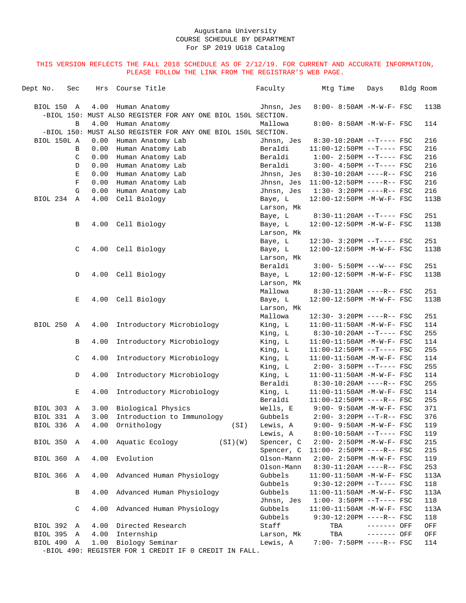| $8:00 - 8:50AM$ -M-W-F- FSC<br>BIOL 150 A<br>4.00 Human Anatomy<br>Jhnsn, Jes<br>113B<br>-BIOL 150: MUST ALSO REGISTER FOR ANY ONE BIOL 150L SECTION.<br>$\, {\bf B}$<br>4.00 Human Anatomy<br>Mallowa<br>8:00- 8:50AM -M-W-F- FSC<br>114<br>-BIOL 150: MUST ALSO REGISTER FOR ANY ONE BIOL 150L SECTION.<br>BIOL 150L A<br>0.00<br>Human Anatomy Lab<br>Jhnsn, Jes<br>$8:30-10:20AM$ --T---- FSC<br>216<br>0.00<br>Beraldi<br>216<br>Human Anatomy Lab<br>$11:00-12:50PM$ --T---- FSC<br>B<br>Beraldi<br>216<br>C<br>0.00<br>Human Anatomy Lab<br>$1:00-2:50PM -T---FSC$<br>0.00<br>Human Anatomy Lab<br>Beraldi<br>$3:00-4:50PM -T---FSC$<br>216<br>D<br>0.00<br>Human Anatomy Lab<br>Jhnsn, Jes<br>$8:30-10:20AM$ ----R-- FSC<br>216<br>Е<br>0.00<br>Human Anatomy Lab<br>216<br>F<br>Jhnsn, Jes<br>$11:00-12:50PM$ ----R-- FSC<br>0.00<br>Human Anatomy Lab<br>Jhnsn, Jes<br>$1:30-3:20PM$ ----R-- FSC<br>216<br>G<br>BIOL 234 A<br>4.00<br>Cell Biology<br>12:00-12:50PM -M-W-F- FSC<br>113B<br>Baye, L<br>Larson, Mk<br>8:30-11:20AM --T---- FSC<br>251<br>Baye, L<br>4.00<br>Cell Biology<br>113B<br>В<br>Baye, L<br>12:00-12:50PM -M-W-F- FSC<br>Larson, Mk<br>12:30- 3:20PM --T---- FSC<br>251<br>Baye, L<br>4.00<br>Cell Biology<br>113B<br>C<br>Baye, L<br>12:00-12:50PM -M-W-F- FSC<br>Larson, Mk<br>Beraldi<br>251<br>$3:00 - 5:50PM$ ---W--- FSC<br>4.00 Cell Biology<br>113B<br>D<br>Baye, L<br>12:00-12:50PM -M-W-F- FSC<br>Larson, Mk<br>Mallowa<br>$8:30-11:20AM$ ----R-- FSC<br>251<br>4.00 Cell Biology<br>12:00-12:50PM -M-W-F- FSC<br>113B<br>Е<br>Baye, L<br>Larson, Mk<br>Mallowa<br>12:30- 3:20PM ----R-- FSC<br>251<br>BIOL 250<br>Introductory Microbiology<br>King, L<br>114<br>4.00<br>$11:00-11:50AM$ -M-W-F- FSC<br>A<br>King, L<br>255<br>$8:30-10:20AM$ --T---- FSC<br>4.00<br>Introductory Microbiology<br>King, L<br>11:00-11:50AM -M-W-F- FSC<br>114<br>В<br>King, L<br>255<br>$11:00-12:50PM$ --T---- FSC<br>Introductory Microbiology<br>King, L<br>114<br>C<br>4.00<br>$11:00-11:50AM$ -M-W-F- FSC<br>King, L<br>255<br>$2:00-3:50PM -T---FSC$<br>4.00<br>Introductory Microbiology<br>114<br>D<br>King, L<br>$11:00-11:50AM$ -M-W-F- FSC<br>Beraldi<br>$8:30-10:20AM$ ----R-- FSC<br>255<br>4.00<br>Introductory Microbiology<br>King, L<br>Е<br>$11:00-11:50AM$ -M-W-F- FSC<br>114<br>Beraldi<br>255<br>11:00-12:50PM ----R-- FSC<br>Wells, E<br>$9:00 - 9:50AM - M - W - F - FSC$<br>371<br>BIOL 303<br>A<br>3.00 Biological Physics<br>376<br>BIOL 331 A<br>3.00<br>Introduction to Immunology<br>Gubbels<br>$2:00-3:20PM -T-R--FSC$<br>BIOL 336 A<br>4.00 Ornithology<br>(SI) Lewis, A<br>119<br>$9:00 - 9:50AM - M - W - F - FSC$<br>Lewis, A<br>$8:00-10:50AM$ --T---- FSC<br>119<br>BIOL 350 A<br>4.00 Aquatic Ecology<br>(SI)(W)<br>Spencer, C<br>2:00- 2:50PM -M-W-F- FSC<br>215<br>Spencer, C<br>$11:00 - 2:50PM$ ----R-- FSC<br>215<br>4.00 Evolution<br>BIOL 360 A<br>Olson-Mann<br>2:00- 2:50PM -M-W-F- FSC<br>119<br>Olson-Mann<br>8:30-11:20AM ----R-- FSC<br>253<br>BIOL 366 A<br>4.00 Advanced Human Physiology<br>Gubbels<br>113A<br>11:00-11:50AM -M-W-F- FSC<br>Gubbels<br>$9:30-12:20PM$ --T---- FSC<br>118<br>4.00 Advanced Human Physiology<br>Gubbels<br>В<br>$11:00-11:50AM$ -M-W-F- FSC<br>113A<br>Jhnsn, Jes<br>$1:00-3:50PM --T---FSC$<br>118<br>4.00 Advanced Human Physiology<br>Gubbels<br>C<br>$11:00-11:50AM$ -M-W-F- FSC<br>113A<br>Gubbels<br>$9:30-12:20PM$ ----R-- FSC<br>118<br>BIOL 392 A<br>4.00 Directed Research<br>Staff<br>TBA<br>------- OFF<br>OFF<br>BIOL 395 A<br>4.00 Internship<br>TBA<br>Larson, Mk<br>------- OFF<br>OFF<br>1.00 Biology Seminar<br>BIOL 490 A<br>7:00- 7:50PM ----R-- FSC<br>Lewis, A<br>114<br>-BIOL 490: REGISTER FOR 1 CREDIT IF 0 CREDIT IN FALL. | Dept No. | Sec | Hrs | Course Title | Faculty | Mtg Time | Days | Bldg Room |
|--------------------------------------------------------------------------------------------------------------------------------------------------------------------------------------------------------------------------------------------------------------------------------------------------------------------------------------------------------------------------------------------------------------------------------------------------------------------------------------------------------------------------------------------------------------------------------------------------------------------------------------------------------------------------------------------------------------------------------------------------------------------------------------------------------------------------------------------------------------------------------------------------------------------------------------------------------------------------------------------------------------------------------------------------------------------------------------------------------------------------------------------------------------------------------------------------------------------------------------------------------------------------------------------------------------------------------------------------------------------------------------------------------------------------------------------------------------------------------------------------------------------------------------------------------------------------------------------------------------------------------------------------------------------------------------------------------------------------------------------------------------------------------------------------------------------------------------------------------------------------------------------------------------------------------------------------------------------------------------------------------------------------------------------------------------------------------------------------------------------------------------------------------------------------------------------------------------------------------------------------------------------------------------------------------------------------------------------------------------------------------------------------------------------------------------------------------------------------------------------------------------------------------------------------------------------------------------------------------------------------------------------------------------------------------------------------------------------------------------------------------------------------------------------------------------------------------------------------------------------------------------------------------------------------------------------------------------------------------------------------------------------------------------------------------------------------------------------------------------------------------------------------------------------------------------------------------------------------------------------------------------------------------------------------------------------------------------------------------------------------------------------------------------------------------------------------------------------------------------------------------------------------------------------------------------------------------------------------------------------------------------------------------------------------------------------------------------------------------------------------------------------|----------|-----|-----|--------------|---------|----------|------|-----------|
|                                                                                                                                                                                                                                                                                                                                                                                                                                                                                                                                                                                                                                                                                                                                                                                                                                                                                                                                                                                                                                                                                                                                                                                                                                                                                                                                                                                                                                                                                                                                                                                                                                                                                                                                                                                                                                                                                                                                                                                                                                                                                                                                                                                                                                                                                                                                                                                                                                                                                                                                                                                                                                                                                                                                                                                                                                                                                                                                                                                                                                                                                                                                                                                                                                                                                                                                                                                                                                                                                                                                                                                                                                                                                                                                                                    |          |     |     |              |         |          |      |           |
|                                                                                                                                                                                                                                                                                                                                                                                                                                                                                                                                                                                                                                                                                                                                                                                                                                                                                                                                                                                                                                                                                                                                                                                                                                                                                                                                                                                                                                                                                                                                                                                                                                                                                                                                                                                                                                                                                                                                                                                                                                                                                                                                                                                                                                                                                                                                                                                                                                                                                                                                                                                                                                                                                                                                                                                                                                                                                                                                                                                                                                                                                                                                                                                                                                                                                                                                                                                                                                                                                                                                                                                                                                                                                                                                                                    |          |     |     |              |         |          |      |           |
|                                                                                                                                                                                                                                                                                                                                                                                                                                                                                                                                                                                                                                                                                                                                                                                                                                                                                                                                                                                                                                                                                                                                                                                                                                                                                                                                                                                                                                                                                                                                                                                                                                                                                                                                                                                                                                                                                                                                                                                                                                                                                                                                                                                                                                                                                                                                                                                                                                                                                                                                                                                                                                                                                                                                                                                                                                                                                                                                                                                                                                                                                                                                                                                                                                                                                                                                                                                                                                                                                                                                                                                                                                                                                                                                                                    |          |     |     |              |         |          |      |           |
|                                                                                                                                                                                                                                                                                                                                                                                                                                                                                                                                                                                                                                                                                                                                                                                                                                                                                                                                                                                                                                                                                                                                                                                                                                                                                                                                                                                                                                                                                                                                                                                                                                                                                                                                                                                                                                                                                                                                                                                                                                                                                                                                                                                                                                                                                                                                                                                                                                                                                                                                                                                                                                                                                                                                                                                                                                                                                                                                                                                                                                                                                                                                                                                                                                                                                                                                                                                                                                                                                                                                                                                                                                                                                                                                                                    |          |     |     |              |         |          |      |           |
|                                                                                                                                                                                                                                                                                                                                                                                                                                                                                                                                                                                                                                                                                                                                                                                                                                                                                                                                                                                                                                                                                                                                                                                                                                                                                                                                                                                                                                                                                                                                                                                                                                                                                                                                                                                                                                                                                                                                                                                                                                                                                                                                                                                                                                                                                                                                                                                                                                                                                                                                                                                                                                                                                                                                                                                                                                                                                                                                                                                                                                                                                                                                                                                                                                                                                                                                                                                                                                                                                                                                                                                                                                                                                                                                                                    |          |     |     |              |         |          |      |           |
|                                                                                                                                                                                                                                                                                                                                                                                                                                                                                                                                                                                                                                                                                                                                                                                                                                                                                                                                                                                                                                                                                                                                                                                                                                                                                                                                                                                                                                                                                                                                                                                                                                                                                                                                                                                                                                                                                                                                                                                                                                                                                                                                                                                                                                                                                                                                                                                                                                                                                                                                                                                                                                                                                                                                                                                                                                                                                                                                                                                                                                                                                                                                                                                                                                                                                                                                                                                                                                                                                                                                                                                                                                                                                                                                                                    |          |     |     |              |         |          |      |           |
|                                                                                                                                                                                                                                                                                                                                                                                                                                                                                                                                                                                                                                                                                                                                                                                                                                                                                                                                                                                                                                                                                                                                                                                                                                                                                                                                                                                                                                                                                                                                                                                                                                                                                                                                                                                                                                                                                                                                                                                                                                                                                                                                                                                                                                                                                                                                                                                                                                                                                                                                                                                                                                                                                                                                                                                                                                                                                                                                                                                                                                                                                                                                                                                                                                                                                                                                                                                                                                                                                                                                                                                                                                                                                                                                                                    |          |     |     |              |         |          |      |           |
|                                                                                                                                                                                                                                                                                                                                                                                                                                                                                                                                                                                                                                                                                                                                                                                                                                                                                                                                                                                                                                                                                                                                                                                                                                                                                                                                                                                                                                                                                                                                                                                                                                                                                                                                                                                                                                                                                                                                                                                                                                                                                                                                                                                                                                                                                                                                                                                                                                                                                                                                                                                                                                                                                                                                                                                                                                                                                                                                                                                                                                                                                                                                                                                                                                                                                                                                                                                                                                                                                                                                                                                                                                                                                                                                                                    |          |     |     |              |         |          |      |           |
|                                                                                                                                                                                                                                                                                                                                                                                                                                                                                                                                                                                                                                                                                                                                                                                                                                                                                                                                                                                                                                                                                                                                                                                                                                                                                                                                                                                                                                                                                                                                                                                                                                                                                                                                                                                                                                                                                                                                                                                                                                                                                                                                                                                                                                                                                                                                                                                                                                                                                                                                                                                                                                                                                                                                                                                                                                                                                                                                                                                                                                                                                                                                                                                                                                                                                                                                                                                                                                                                                                                                                                                                                                                                                                                                                                    |          |     |     |              |         |          |      |           |
|                                                                                                                                                                                                                                                                                                                                                                                                                                                                                                                                                                                                                                                                                                                                                                                                                                                                                                                                                                                                                                                                                                                                                                                                                                                                                                                                                                                                                                                                                                                                                                                                                                                                                                                                                                                                                                                                                                                                                                                                                                                                                                                                                                                                                                                                                                                                                                                                                                                                                                                                                                                                                                                                                                                                                                                                                                                                                                                                                                                                                                                                                                                                                                                                                                                                                                                                                                                                                                                                                                                                                                                                                                                                                                                                                                    |          |     |     |              |         |          |      |           |
|                                                                                                                                                                                                                                                                                                                                                                                                                                                                                                                                                                                                                                                                                                                                                                                                                                                                                                                                                                                                                                                                                                                                                                                                                                                                                                                                                                                                                                                                                                                                                                                                                                                                                                                                                                                                                                                                                                                                                                                                                                                                                                                                                                                                                                                                                                                                                                                                                                                                                                                                                                                                                                                                                                                                                                                                                                                                                                                                                                                                                                                                                                                                                                                                                                                                                                                                                                                                                                                                                                                                                                                                                                                                                                                                                                    |          |     |     |              |         |          |      |           |
|                                                                                                                                                                                                                                                                                                                                                                                                                                                                                                                                                                                                                                                                                                                                                                                                                                                                                                                                                                                                                                                                                                                                                                                                                                                                                                                                                                                                                                                                                                                                                                                                                                                                                                                                                                                                                                                                                                                                                                                                                                                                                                                                                                                                                                                                                                                                                                                                                                                                                                                                                                                                                                                                                                                                                                                                                                                                                                                                                                                                                                                                                                                                                                                                                                                                                                                                                                                                                                                                                                                                                                                                                                                                                                                                                                    |          |     |     |              |         |          |      |           |
|                                                                                                                                                                                                                                                                                                                                                                                                                                                                                                                                                                                                                                                                                                                                                                                                                                                                                                                                                                                                                                                                                                                                                                                                                                                                                                                                                                                                                                                                                                                                                                                                                                                                                                                                                                                                                                                                                                                                                                                                                                                                                                                                                                                                                                                                                                                                                                                                                                                                                                                                                                                                                                                                                                                                                                                                                                                                                                                                                                                                                                                                                                                                                                                                                                                                                                                                                                                                                                                                                                                                                                                                                                                                                                                                                                    |          |     |     |              |         |          |      |           |
|                                                                                                                                                                                                                                                                                                                                                                                                                                                                                                                                                                                                                                                                                                                                                                                                                                                                                                                                                                                                                                                                                                                                                                                                                                                                                                                                                                                                                                                                                                                                                                                                                                                                                                                                                                                                                                                                                                                                                                                                                                                                                                                                                                                                                                                                                                                                                                                                                                                                                                                                                                                                                                                                                                                                                                                                                                                                                                                                                                                                                                                                                                                                                                                                                                                                                                                                                                                                                                                                                                                                                                                                                                                                                                                                                                    |          |     |     |              |         |          |      |           |
|                                                                                                                                                                                                                                                                                                                                                                                                                                                                                                                                                                                                                                                                                                                                                                                                                                                                                                                                                                                                                                                                                                                                                                                                                                                                                                                                                                                                                                                                                                                                                                                                                                                                                                                                                                                                                                                                                                                                                                                                                                                                                                                                                                                                                                                                                                                                                                                                                                                                                                                                                                                                                                                                                                                                                                                                                                                                                                                                                                                                                                                                                                                                                                                                                                                                                                                                                                                                                                                                                                                                                                                                                                                                                                                                                                    |          |     |     |              |         |          |      |           |
|                                                                                                                                                                                                                                                                                                                                                                                                                                                                                                                                                                                                                                                                                                                                                                                                                                                                                                                                                                                                                                                                                                                                                                                                                                                                                                                                                                                                                                                                                                                                                                                                                                                                                                                                                                                                                                                                                                                                                                                                                                                                                                                                                                                                                                                                                                                                                                                                                                                                                                                                                                                                                                                                                                                                                                                                                                                                                                                                                                                                                                                                                                                                                                                                                                                                                                                                                                                                                                                                                                                                                                                                                                                                                                                                                                    |          |     |     |              |         |          |      |           |
|                                                                                                                                                                                                                                                                                                                                                                                                                                                                                                                                                                                                                                                                                                                                                                                                                                                                                                                                                                                                                                                                                                                                                                                                                                                                                                                                                                                                                                                                                                                                                                                                                                                                                                                                                                                                                                                                                                                                                                                                                                                                                                                                                                                                                                                                                                                                                                                                                                                                                                                                                                                                                                                                                                                                                                                                                                                                                                                                                                                                                                                                                                                                                                                                                                                                                                                                                                                                                                                                                                                                                                                                                                                                                                                                                                    |          |     |     |              |         |          |      |           |
|                                                                                                                                                                                                                                                                                                                                                                                                                                                                                                                                                                                                                                                                                                                                                                                                                                                                                                                                                                                                                                                                                                                                                                                                                                                                                                                                                                                                                                                                                                                                                                                                                                                                                                                                                                                                                                                                                                                                                                                                                                                                                                                                                                                                                                                                                                                                                                                                                                                                                                                                                                                                                                                                                                                                                                                                                                                                                                                                                                                                                                                                                                                                                                                                                                                                                                                                                                                                                                                                                                                                                                                                                                                                                                                                                                    |          |     |     |              |         |          |      |           |
|                                                                                                                                                                                                                                                                                                                                                                                                                                                                                                                                                                                                                                                                                                                                                                                                                                                                                                                                                                                                                                                                                                                                                                                                                                                                                                                                                                                                                                                                                                                                                                                                                                                                                                                                                                                                                                                                                                                                                                                                                                                                                                                                                                                                                                                                                                                                                                                                                                                                                                                                                                                                                                                                                                                                                                                                                                                                                                                                                                                                                                                                                                                                                                                                                                                                                                                                                                                                                                                                                                                                                                                                                                                                                                                                                                    |          |     |     |              |         |          |      |           |
|                                                                                                                                                                                                                                                                                                                                                                                                                                                                                                                                                                                                                                                                                                                                                                                                                                                                                                                                                                                                                                                                                                                                                                                                                                                                                                                                                                                                                                                                                                                                                                                                                                                                                                                                                                                                                                                                                                                                                                                                                                                                                                                                                                                                                                                                                                                                                                                                                                                                                                                                                                                                                                                                                                                                                                                                                                                                                                                                                                                                                                                                                                                                                                                                                                                                                                                                                                                                                                                                                                                                                                                                                                                                                                                                                                    |          |     |     |              |         |          |      |           |
|                                                                                                                                                                                                                                                                                                                                                                                                                                                                                                                                                                                                                                                                                                                                                                                                                                                                                                                                                                                                                                                                                                                                                                                                                                                                                                                                                                                                                                                                                                                                                                                                                                                                                                                                                                                                                                                                                                                                                                                                                                                                                                                                                                                                                                                                                                                                                                                                                                                                                                                                                                                                                                                                                                                                                                                                                                                                                                                                                                                                                                                                                                                                                                                                                                                                                                                                                                                                                                                                                                                                                                                                                                                                                                                                                                    |          |     |     |              |         |          |      |           |
|                                                                                                                                                                                                                                                                                                                                                                                                                                                                                                                                                                                                                                                                                                                                                                                                                                                                                                                                                                                                                                                                                                                                                                                                                                                                                                                                                                                                                                                                                                                                                                                                                                                                                                                                                                                                                                                                                                                                                                                                                                                                                                                                                                                                                                                                                                                                                                                                                                                                                                                                                                                                                                                                                                                                                                                                                                                                                                                                                                                                                                                                                                                                                                                                                                                                                                                                                                                                                                                                                                                                                                                                                                                                                                                                                                    |          |     |     |              |         |          |      |           |
|                                                                                                                                                                                                                                                                                                                                                                                                                                                                                                                                                                                                                                                                                                                                                                                                                                                                                                                                                                                                                                                                                                                                                                                                                                                                                                                                                                                                                                                                                                                                                                                                                                                                                                                                                                                                                                                                                                                                                                                                                                                                                                                                                                                                                                                                                                                                                                                                                                                                                                                                                                                                                                                                                                                                                                                                                                                                                                                                                                                                                                                                                                                                                                                                                                                                                                                                                                                                                                                                                                                                                                                                                                                                                                                                                                    |          |     |     |              |         |          |      |           |
|                                                                                                                                                                                                                                                                                                                                                                                                                                                                                                                                                                                                                                                                                                                                                                                                                                                                                                                                                                                                                                                                                                                                                                                                                                                                                                                                                                                                                                                                                                                                                                                                                                                                                                                                                                                                                                                                                                                                                                                                                                                                                                                                                                                                                                                                                                                                                                                                                                                                                                                                                                                                                                                                                                                                                                                                                                                                                                                                                                                                                                                                                                                                                                                                                                                                                                                                                                                                                                                                                                                                                                                                                                                                                                                                                                    |          |     |     |              |         |          |      |           |
|                                                                                                                                                                                                                                                                                                                                                                                                                                                                                                                                                                                                                                                                                                                                                                                                                                                                                                                                                                                                                                                                                                                                                                                                                                                                                                                                                                                                                                                                                                                                                                                                                                                                                                                                                                                                                                                                                                                                                                                                                                                                                                                                                                                                                                                                                                                                                                                                                                                                                                                                                                                                                                                                                                                                                                                                                                                                                                                                                                                                                                                                                                                                                                                                                                                                                                                                                                                                                                                                                                                                                                                                                                                                                                                                                                    |          |     |     |              |         |          |      |           |
|                                                                                                                                                                                                                                                                                                                                                                                                                                                                                                                                                                                                                                                                                                                                                                                                                                                                                                                                                                                                                                                                                                                                                                                                                                                                                                                                                                                                                                                                                                                                                                                                                                                                                                                                                                                                                                                                                                                                                                                                                                                                                                                                                                                                                                                                                                                                                                                                                                                                                                                                                                                                                                                                                                                                                                                                                                                                                                                                                                                                                                                                                                                                                                                                                                                                                                                                                                                                                                                                                                                                                                                                                                                                                                                                                                    |          |     |     |              |         |          |      |           |
|                                                                                                                                                                                                                                                                                                                                                                                                                                                                                                                                                                                                                                                                                                                                                                                                                                                                                                                                                                                                                                                                                                                                                                                                                                                                                                                                                                                                                                                                                                                                                                                                                                                                                                                                                                                                                                                                                                                                                                                                                                                                                                                                                                                                                                                                                                                                                                                                                                                                                                                                                                                                                                                                                                                                                                                                                                                                                                                                                                                                                                                                                                                                                                                                                                                                                                                                                                                                                                                                                                                                                                                                                                                                                                                                                                    |          |     |     |              |         |          |      |           |
|                                                                                                                                                                                                                                                                                                                                                                                                                                                                                                                                                                                                                                                                                                                                                                                                                                                                                                                                                                                                                                                                                                                                                                                                                                                                                                                                                                                                                                                                                                                                                                                                                                                                                                                                                                                                                                                                                                                                                                                                                                                                                                                                                                                                                                                                                                                                                                                                                                                                                                                                                                                                                                                                                                                                                                                                                                                                                                                                                                                                                                                                                                                                                                                                                                                                                                                                                                                                                                                                                                                                                                                                                                                                                                                                                                    |          |     |     |              |         |          |      |           |
|                                                                                                                                                                                                                                                                                                                                                                                                                                                                                                                                                                                                                                                                                                                                                                                                                                                                                                                                                                                                                                                                                                                                                                                                                                                                                                                                                                                                                                                                                                                                                                                                                                                                                                                                                                                                                                                                                                                                                                                                                                                                                                                                                                                                                                                                                                                                                                                                                                                                                                                                                                                                                                                                                                                                                                                                                                                                                                                                                                                                                                                                                                                                                                                                                                                                                                                                                                                                                                                                                                                                                                                                                                                                                                                                                                    |          |     |     |              |         |          |      |           |
|                                                                                                                                                                                                                                                                                                                                                                                                                                                                                                                                                                                                                                                                                                                                                                                                                                                                                                                                                                                                                                                                                                                                                                                                                                                                                                                                                                                                                                                                                                                                                                                                                                                                                                                                                                                                                                                                                                                                                                                                                                                                                                                                                                                                                                                                                                                                                                                                                                                                                                                                                                                                                                                                                                                                                                                                                                                                                                                                                                                                                                                                                                                                                                                                                                                                                                                                                                                                                                                                                                                                                                                                                                                                                                                                                                    |          |     |     |              |         |          |      |           |
|                                                                                                                                                                                                                                                                                                                                                                                                                                                                                                                                                                                                                                                                                                                                                                                                                                                                                                                                                                                                                                                                                                                                                                                                                                                                                                                                                                                                                                                                                                                                                                                                                                                                                                                                                                                                                                                                                                                                                                                                                                                                                                                                                                                                                                                                                                                                                                                                                                                                                                                                                                                                                                                                                                                                                                                                                                                                                                                                                                                                                                                                                                                                                                                                                                                                                                                                                                                                                                                                                                                                                                                                                                                                                                                                                                    |          |     |     |              |         |          |      |           |
|                                                                                                                                                                                                                                                                                                                                                                                                                                                                                                                                                                                                                                                                                                                                                                                                                                                                                                                                                                                                                                                                                                                                                                                                                                                                                                                                                                                                                                                                                                                                                                                                                                                                                                                                                                                                                                                                                                                                                                                                                                                                                                                                                                                                                                                                                                                                                                                                                                                                                                                                                                                                                                                                                                                                                                                                                                                                                                                                                                                                                                                                                                                                                                                                                                                                                                                                                                                                                                                                                                                                                                                                                                                                                                                                                                    |          |     |     |              |         |          |      |           |
|                                                                                                                                                                                                                                                                                                                                                                                                                                                                                                                                                                                                                                                                                                                                                                                                                                                                                                                                                                                                                                                                                                                                                                                                                                                                                                                                                                                                                                                                                                                                                                                                                                                                                                                                                                                                                                                                                                                                                                                                                                                                                                                                                                                                                                                                                                                                                                                                                                                                                                                                                                                                                                                                                                                                                                                                                                                                                                                                                                                                                                                                                                                                                                                                                                                                                                                                                                                                                                                                                                                                                                                                                                                                                                                                                                    |          |     |     |              |         |          |      |           |
|                                                                                                                                                                                                                                                                                                                                                                                                                                                                                                                                                                                                                                                                                                                                                                                                                                                                                                                                                                                                                                                                                                                                                                                                                                                                                                                                                                                                                                                                                                                                                                                                                                                                                                                                                                                                                                                                                                                                                                                                                                                                                                                                                                                                                                                                                                                                                                                                                                                                                                                                                                                                                                                                                                                                                                                                                                                                                                                                                                                                                                                                                                                                                                                                                                                                                                                                                                                                                                                                                                                                                                                                                                                                                                                                                                    |          |     |     |              |         |          |      |           |
|                                                                                                                                                                                                                                                                                                                                                                                                                                                                                                                                                                                                                                                                                                                                                                                                                                                                                                                                                                                                                                                                                                                                                                                                                                                                                                                                                                                                                                                                                                                                                                                                                                                                                                                                                                                                                                                                                                                                                                                                                                                                                                                                                                                                                                                                                                                                                                                                                                                                                                                                                                                                                                                                                                                                                                                                                                                                                                                                                                                                                                                                                                                                                                                                                                                                                                                                                                                                                                                                                                                                                                                                                                                                                                                                                                    |          |     |     |              |         |          |      |           |
|                                                                                                                                                                                                                                                                                                                                                                                                                                                                                                                                                                                                                                                                                                                                                                                                                                                                                                                                                                                                                                                                                                                                                                                                                                                                                                                                                                                                                                                                                                                                                                                                                                                                                                                                                                                                                                                                                                                                                                                                                                                                                                                                                                                                                                                                                                                                                                                                                                                                                                                                                                                                                                                                                                                                                                                                                                                                                                                                                                                                                                                                                                                                                                                                                                                                                                                                                                                                                                                                                                                                                                                                                                                                                                                                                                    |          |     |     |              |         |          |      |           |
|                                                                                                                                                                                                                                                                                                                                                                                                                                                                                                                                                                                                                                                                                                                                                                                                                                                                                                                                                                                                                                                                                                                                                                                                                                                                                                                                                                                                                                                                                                                                                                                                                                                                                                                                                                                                                                                                                                                                                                                                                                                                                                                                                                                                                                                                                                                                                                                                                                                                                                                                                                                                                                                                                                                                                                                                                                                                                                                                                                                                                                                                                                                                                                                                                                                                                                                                                                                                                                                                                                                                                                                                                                                                                                                                                                    |          |     |     |              |         |          |      |           |
|                                                                                                                                                                                                                                                                                                                                                                                                                                                                                                                                                                                                                                                                                                                                                                                                                                                                                                                                                                                                                                                                                                                                                                                                                                                                                                                                                                                                                                                                                                                                                                                                                                                                                                                                                                                                                                                                                                                                                                                                                                                                                                                                                                                                                                                                                                                                                                                                                                                                                                                                                                                                                                                                                                                                                                                                                                                                                                                                                                                                                                                                                                                                                                                                                                                                                                                                                                                                                                                                                                                                                                                                                                                                                                                                                                    |          |     |     |              |         |          |      |           |
|                                                                                                                                                                                                                                                                                                                                                                                                                                                                                                                                                                                                                                                                                                                                                                                                                                                                                                                                                                                                                                                                                                                                                                                                                                                                                                                                                                                                                                                                                                                                                                                                                                                                                                                                                                                                                                                                                                                                                                                                                                                                                                                                                                                                                                                                                                                                                                                                                                                                                                                                                                                                                                                                                                                                                                                                                                                                                                                                                                                                                                                                                                                                                                                                                                                                                                                                                                                                                                                                                                                                                                                                                                                                                                                                                                    |          |     |     |              |         |          |      |           |
|                                                                                                                                                                                                                                                                                                                                                                                                                                                                                                                                                                                                                                                                                                                                                                                                                                                                                                                                                                                                                                                                                                                                                                                                                                                                                                                                                                                                                                                                                                                                                                                                                                                                                                                                                                                                                                                                                                                                                                                                                                                                                                                                                                                                                                                                                                                                                                                                                                                                                                                                                                                                                                                                                                                                                                                                                                                                                                                                                                                                                                                                                                                                                                                                                                                                                                                                                                                                                                                                                                                                                                                                                                                                                                                                                                    |          |     |     |              |         |          |      |           |
|                                                                                                                                                                                                                                                                                                                                                                                                                                                                                                                                                                                                                                                                                                                                                                                                                                                                                                                                                                                                                                                                                                                                                                                                                                                                                                                                                                                                                                                                                                                                                                                                                                                                                                                                                                                                                                                                                                                                                                                                                                                                                                                                                                                                                                                                                                                                                                                                                                                                                                                                                                                                                                                                                                                                                                                                                                                                                                                                                                                                                                                                                                                                                                                                                                                                                                                                                                                                                                                                                                                                                                                                                                                                                                                                                                    |          |     |     |              |         |          |      |           |
|                                                                                                                                                                                                                                                                                                                                                                                                                                                                                                                                                                                                                                                                                                                                                                                                                                                                                                                                                                                                                                                                                                                                                                                                                                                                                                                                                                                                                                                                                                                                                                                                                                                                                                                                                                                                                                                                                                                                                                                                                                                                                                                                                                                                                                                                                                                                                                                                                                                                                                                                                                                                                                                                                                                                                                                                                                                                                                                                                                                                                                                                                                                                                                                                                                                                                                                                                                                                                                                                                                                                                                                                                                                                                                                                                                    |          |     |     |              |         |          |      |           |
|                                                                                                                                                                                                                                                                                                                                                                                                                                                                                                                                                                                                                                                                                                                                                                                                                                                                                                                                                                                                                                                                                                                                                                                                                                                                                                                                                                                                                                                                                                                                                                                                                                                                                                                                                                                                                                                                                                                                                                                                                                                                                                                                                                                                                                                                                                                                                                                                                                                                                                                                                                                                                                                                                                                                                                                                                                                                                                                                                                                                                                                                                                                                                                                                                                                                                                                                                                                                                                                                                                                                                                                                                                                                                                                                                                    |          |     |     |              |         |          |      |           |
|                                                                                                                                                                                                                                                                                                                                                                                                                                                                                                                                                                                                                                                                                                                                                                                                                                                                                                                                                                                                                                                                                                                                                                                                                                                                                                                                                                                                                                                                                                                                                                                                                                                                                                                                                                                                                                                                                                                                                                                                                                                                                                                                                                                                                                                                                                                                                                                                                                                                                                                                                                                                                                                                                                                                                                                                                                                                                                                                                                                                                                                                                                                                                                                                                                                                                                                                                                                                                                                                                                                                                                                                                                                                                                                                                                    |          |     |     |              |         |          |      |           |
|                                                                                                                                                                                                                                                                                                                                                                                                                                                                                                                                                                                                                                                                                                                                                                                                                                                                                                                                                                                                                                                                                                                                                                                                                                                                                                                                                                                                                                                                                                                                                                                                                                                                                                                                                                                                                                                                                                                                                                                                                                                                                                                                                                                                                                                                                                                                                                                                                                                                                                                                                                                                                                                                                                                                                                                                                                                                                                                                                                                                                                                                                                                                                                                                                                                                                                                                                                                                                                                                                                                                                                                                                                                                                                                                                                    |          |     |     |              |         |          |      |           |
|                                                                                                                                                                                                                                                                                                                                                                                                                                                                                                                                                                                                                                                                                                                                                                                                                                                                                                                                                                                                                                                                                                                                                                                                                                                                                                                                                                                                                                                                                                                                                                                                                                                                                                                                                                                                                                                                                                                                                                                                                                                                                                                                                                                                                                                                                                                                                                                                                                                                                                                                                                                                                                                                                                                                                                                                                                                                                                                                                                                                                                                                                                                                                                                                                                                                                                                                                                                                                                                                                                                                                                                                                                                                                                                                                                    |          |     |     |              |         |          |      |           |
|                                                                                                                                                                                                                                                                                                                                                                                                                                                                                                                                                                                                                                                                                                                                                                                                                                                                                                                                                                                                                                                                                                                                                                                                                                                                                                                                                                                                                                                                                                                                                                                                                                                                                                                                                                                                                                                                                                                                                                                                                                                                                                                                                                                                                                                                                                                                                                                                                                                                                                                                                                                                                                                                                                                                                                                                                                                                                                                                                                                                                                                                                                                                                                                                                                                                                                                                                                                                                                                                                                                                                                                                                                                                                                                                                                    |          |     |     |              |         |          |      |           |
|                                                                                                                                                                                                                                                                                                                                                                                                                                                                                                                                                                                                                                                                                                                                                                                                                                                                                                                                                                                                                                                                                                                                                                                                                                                                                                                                                                                                                                                                                                                                                                                                                                                                                                                                                                                                                                                                                                                                                                                                                                                                                                                                                                                                                                                                                                                                                                                                                                                                                                                                                                                                                                                                                                                                                                                                                                                                                                                                                                                                                                                                                                                                                                                                                                                                                                                                                                                                                                                                                                                                                                                                                                                                                                                                                                    |          |     |     |              |         |          |      |           |
|                                                                                                                                                                                                                                                                                                                                                                                                                                                                                                                                                                                                                                                                                                                                                                                                                                                                                                                                                                                                                                                                                                                                                                                                                                                                                                                                                                                                                                                                                                                                                                                                                                                                                                                                                                                                                                                                                                                                                                                                                                                                                                                                                                                                                                                                                                                                                                                                                                                                                                                                                                                                                                                                                                                                                                                                                                                                                                                                                                                                                                                                                                                                                                                                                                                                                                                                                                                                                                                                                                                                                                                                                                                                                                                                                                    |          |     |     |              |         |          |      |           |
|                                                                                                                                                                                                                                                                                                                                                                                                                                                                                                                                                                                                                                                                                                                                                                                                                                                                                                                                                                                                                                                                                                                                                                                                                                                                                                                                                                                                                                                                                                                                                                                                                                                                                                                                                                                                                                                                                                                                                                                                                                                                                                                                                                                                                                                                                                                                                                                                                                                                                                                                                                                                                                                                                                                                                                                                                                                                                                                                                                                                                                                                                                                                                                                                                                                                                                                                                                                                                                                                                                                                                                                                                                                                                                                                                                    |          |     |     |              |         |          |      |           |
|                                                                                                                                                                                                                                                                                                                                                                                                                                                                                                                                                                                                                                                                                                                                                                                                                                                                                                                                                                                                                                                                                                                                                                                                                                                                                                                                                                                                                                                                                                                                                                                                                                                                                                                                                                                                                                                                                                                                                                                                                                                                                                                                                                                                                                                                                                                                                                                                                                                                                                                                                                                                                                                                                                                                                                                                                                                                                                                                                                                                                                                                                                                                                                                                                                                                                                                                                                                                                                                                                                                                                                                                                                                                                                                                                                    |          |     |     |              |         |          |      |           |
|                                                                                                                                                                                                                                                                                                                                                                                                                                                                                                                                                                                                                                                                                                                                                                                                                                                                                                                                                                                                                                                                                                                                                                                                                                                                                                                                                                                                                                                                                                                                                                                                                                                                                                                                                                                                                                                                                                                                                                                                                                                                                                                                                                                                                                                                                                                                                                                                                                                                                                                                                                                                                                                                                                                                                                                                                                                                                                                                                                                                                                                                                                                                                                                                                                                                                                                                                                                                                                                                                                                                                                                                                                                                                                                                                                    |          |     |     |              |         |          |      |           |
|                                                                                                                                                                                                                                                                                                                                                                                                                                                                                                                                                                                                                                                                                                                                                                                                                                                                                                                                                                                                                                                                                                                                                                                                                                                                                                                                                                                                                                                                                                                                                                                                                                                                                                                                                                                                                                                                                                                                                                                                                                                                                                                                                                                                                                                                                                                                                                                                                                                                                                                                                                                                                                                                                                                                                                                                                                                                                                                                                                                                                                                                                                                                                                                                                                                                                                                                                                                                                                                                                                                                                                                                                                                                                                                                                                    |          |     |     |              |         |          |      |           |
|                                                                                                                                                                                                                                                                                                                                                                                                                                                                                                                                                                                                                                                                                                                                                                                                                                                                                                                                                                                                                                                                                                                                                                                                                                                                                                                                                                                                                                                                                                                                                                                                                                                                                                                                                                                                                                                                                                                                                                                                                                                                                                                                                                                                                                                                                                                                                                                                                                                                                                                                                                                                                                                                                                                                                                                                                                                                                                                                                                                                                                                                                                                                                                                                                                                                                                                                                                                                                                                                                                                                                                                                                                                                                                                                                                    |          |     |     |              |         |          |      |           |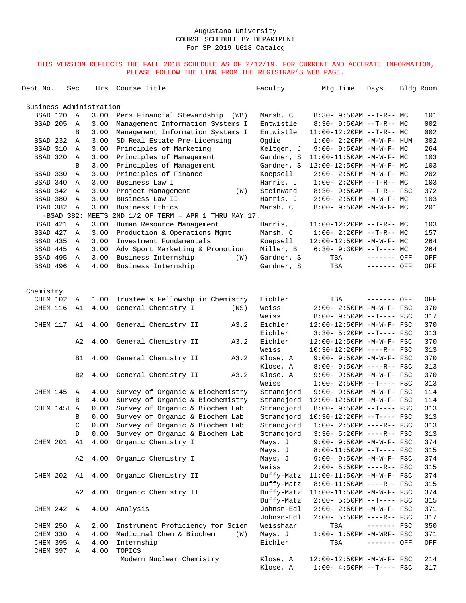| Dept No.                |              | Sec          | Hrs   | Course Title                         |     | Faculty              | Mtg Time                                                | Days         | Bldg Room |            |
|-------------------------|--------------|--------------|-------|--------------------------------------|-----|----------------------|---------------------------------------------------------|--------------|-----------|------------|
| Business Administration |              |              |       |                                      |     |                      |                                                         |              |           |            |
| BSAD 120                |              | $\mathbb{A}$ | 3.00  | Pers Financial Stewardship<br>(WB)   |     | Marsh, C             | $8:30 - 9:50AM -T-R--MC$                                |              |           | 101        |
| BSAD 205                |              | Α            | 3.00  | Management Information Systems I     |     | Entwistle            | $8:30 - 9:50AM -T-R-- MC$                               |              |           | 002        |
|                         |              | B            | 3.00  | Management Information Systems I     |     | Entwistle            | $11:00-12:20PM$ --T-R-- MC                              |              |           | 002        |
| BSAD 232                |              | Α            | 3.00  | SD Real Estate Pre-Licensing         |     | Ogdie                | $1:00 - 2:20PM -M-W-F- HUM$                             |              |           | 302        |
| BSAD 310                |              | Α            | 3.00  | Principles of Marketing              |     | Keltgen, J           | $9:00 - 9:50AM - M-W-F - MC$                            |              |           | 264        |
| BSAD 320                |              | Α            | 3.00  | Principles of Management             |     | Gardner, S           | 11:00-11:50AM -M-W-F- MC                                |              |           | 103        |
|                         |              | B            | 3.00  | Principles of Management             |     | Gardner, S           | 12:00-12:50PM -M-W-F- MC                                |              |           | 103        |
| BSAD 330                |              | Α            | 3.00  | Principles of Finance                |     | Koepsell             | $2:00 - 2:50PM -M-W-F - MC$                             |              |           | 202        |
| BSAD 340                |              | Α            | 3.00  | Business Law I                       |     | Harris, J            | $1:00-2:20PM -T-R--MC$                                  |              |           | 103        |
| BSAD 342                |              | Α            | 3.00  | Project Management                   | (W) | Steinwand            | $8:30 - 9:50AM -T-R--FSC$                               |              |           | 372        |
| BSAD 380                |              | $\mathbb A$  | 3.00  | Business Law II                      |     | Harris, J            | $2:00-2:50PM -M-W-F-MC$                                 |              |           | 103        |
| BSAD 382                |              | Α            | 3.00  | Business Ethics                      |     | Marsh, C             | 8:00- 9:50AM -M-W-F- MC                                 |              |           | 201        |
|                         | $-BSAD 382:$ |              | MEETS | 2ND 1/2 OF TERM - APR 1 THRU MAY 17. |     |                      |                                                         |              |           |            |
| BSAD 421                |              | A            | 3.00  | Human Resource Management            |     | Harris, J            | $11:00-12:20PM$ --T-R-- MC                              |              |           | 103        |
| BSAD 427                |              | $\mathbb{A}$ | 3.00  | Production & Operations Mgmt         |     | Marsh, C             | $1:00-2:20PM -T-R--MC$                                  |              |           | 157        |
| BSAD 435                |              | Α            | 3.00  | Investment Fundamentals              |     | Koepsell             | 12:00-12:50PM -M-W-F- MC                                |              |           | 264        |
| BSAD 445                |              | Α            | 3.00  | Adv Sport Marketing & Promotion      |     | Miller, B            | $6:30-9:30PM --T---MC$                                  |              |           | 264        |
| BSAD 495                |              | Α            | 3.00  | Business Internship                  | (W) | Gardner, S           | TBA                                                     | ------- OFF  |           | OFF        |
| BSAD 496                |              | $\mathbb{A}$ | 4.00  | Business Internship                  |     | Gardner, S           | TBA                                                     | ------- OFF  |           | OFF        |
|                         |              |              |       |                                      |     |                      |                                                         |              |           |            |
| Chemistry               |              |              |       |                                      |     |                      |                                                         |              |           |            |
| CHEM 102                |              | Α            | 1.00  | Trustee's Fellowshp in Chemistry     |     | Eichler              | TBA                                                     | ------- OFF  |           | OFF        |
| CHEM 116                |              | A1           | 4.00  | General Chemistry I<br>(NS)          |     | Weiss                | $2:00 - 2:50PM - M - W - F - FSC$                       |              |           | 370        |
|                         |              |              |       |                                      |     | Weiss                | $8:00 - 9:50AM -T--- FSC$                               |              |           | 317        |
| CHEM 117                |              | A1           | 4.00  | General Chemistry II<br>A3.2         |     | Eichler              | 12:00-12:50PM -M-W-F- FSC                               |              |           | 370        |
|                         |              |              |       |                                      |     | Eichler              | $3:30 - 5:20PM -T--- FSC$                               |              |           | 313        |
|                         |              | A2           | 4.00  | General Chemistry II<br>A3.2         |     | Eichler              | 12:00-12:50PM -M-W-F- FSC                               |              |           | 370        |
|                         |              |              |       |                                      |     | Weiss                | 10:30-12:20PM ----R-- FSC                               |              |           | 313<br>370 |
|                         |              | B1           | 4.00  | General Chemistry II<br>A3.2         |     | Klose, A             | 9:00- 9:50AM -M-W-F- FSC<br>$8:00 - 9:50AM$ ----R-- FSC |              |           | 313        |
|                         |              | B2           | 4.00  | General Chemistry II<br>A3.2         |     | Klose, A<br>Klose, A | $9:00 - 9:50AM - M-W-F - FSC$                           |              |           | 370        |
|                         |              |              |       |                                      |     | Weiss                | $1:00-2:50PM -T---FSC$                                  |              |           | 313        |
| CHEM 145                |              | Α            | 4.00  | Survey of Organic & Biochemistry     |     | Strandjord           | $9:00 - 9:50AM - M - W - F - FSC$                       |              |           | 114        |
|                         |              | B            | 4.00  | Survey of Organic & Biochemistry     |     | Strandjord           | 12:00-12:50PM -M-W-F- FSC                               |              |           | 114        |
|                         | CHEM 145L A  |              | 0.00  | Survey of Organic & Biochem Lab      |     | Strandjord           | $8:00 - 9:50AM -T--- FSC$                               |              |           | 313        |
|                         |              | B            | 0.00  | Survey of Organic & Biochem Lab      |     | Strandjord           | 10:30-12:20PM --T---- FSC                               |              |           | 313        |
|                         |              | $\mathsf C$  | 0.00  | Survey of Organic & Biochem Lab      |     | Strandjord           | $1:00-2:50PM$ ----R-- FSC                               |              |           | 313        |
|                         |              | D            | 0.00  | Survey of Organic & Biochem Lab      |     | Strandjord           | $3:30 - 5:20PM$ ----R-- FSC                             |              |           | 313        |
| CHEM 201                |              | A1           | 4.00  | Organic Chemistry I                  |     | Mays, J              | $9:00 - 9:50AM - M-W-F - FSC$                           |              |           | 374        |
|                         |              |              |       |                                      |     | Mays, J              | $8:00-11:50AM$ --T---- FSC                              |              |           | 315        |
|                         |              | A2           | 4.00  | Organic Chemistry I                  |     | Mays, J              | $9:00 - 9:50AM - M-W-F - FSC$                           |              |           | 374        |
|                         |              |              |       |                                      |     | Weiss                | $2:00 - 5:50PM$ ----R-- FSC                             |              |           | 315        |
| CHEM 202 A1             |              |              | 4.00  | Organic Chemistry II                 |     | Duffy-Matz           | 11:00-11:50AM -M-W-F- FSC                               |              |           | 374        |
|                         |              |              |       |                                      |     | Duffy-Matz           | $8:00-11:50AM$ ----R-- FSC                              |              |           | 315        |
|                         |              | A2           | 4.00  | Organic Chemistry II                 |     | Duffy-Matz           | 11:00-11:50AM -M-W-F- FSC                               |              |           | 374        |
|                         |              |              |       |                                      |     | Duffy-Matz           | $2:00 - 5:50PM -T--- FSC$                               |              |           | 315        |
| CHEM 242 A              |              |              | 4.00  | Analysis                             |     | Johnsn-Edl           | 2:00- 2:50PM -M-W-F- FSC                                |              |           | 371        |
|                         |              |              |       |                                      |     | Johnsn-Edl           | $2:00 - 5:50PM$ ----R-- FSC                             |              |           | 317        |
| CHEM 250                |              | Α            | 2.00  | Instrument Proficiency for Scien     |     | Weisshaar            | TBA                                                     | $------$ FSC |           | 350        |
| CHEM 330                |              | Α            | 4.00  | Medicinal Chem & Biochem             | (W) | Mays, J              | $1:00-1:50PM$ -M-WRF- FSC                               |              |           | 371        |
| CHEM 395                |              | Α            | 4.00  | Internship                           |     | Eichler              | TBA                                                     | ------- OFF  |           | OFF        |
| CHEM 397 A              |              |              | 4.00  | TOPICS:                              |     |                      |                                                         |              |           |            |
|                         |              |              |       | Modern Nuclear Chemistry             |     | Klose, A             | 12:00-12:50PM -M-W-F- FSC                               |              |           | 214        |
|                         |              |              |       |                                      |     | Klose, A             | $1:00-4:50PM --T---FSC$                                 |              |           | 317        |
|                         |              |              |       |                                      |     |                      |                                                         |              |           |            |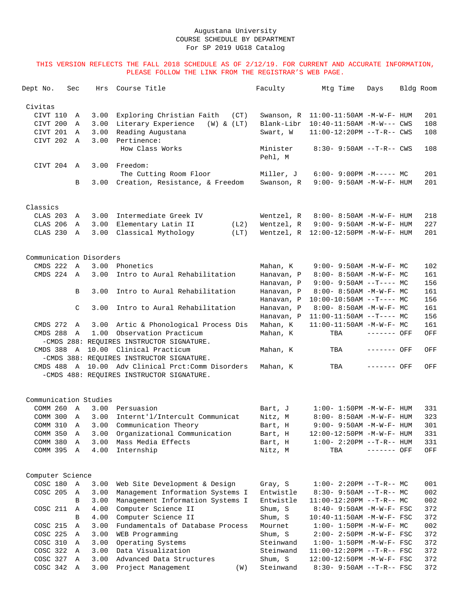| Dept No. |                  | Sec            | Hrs                     | Course Title                              | Faculty             | Mtg Time                                 | Days        | Bldg Room |     |
|----------|------------------|----------------|-------------------------|-------------------------------------------|---------------------|------------------------------------------|-------------|-----------|-----|
| Civitas  |                  |                |                         |                                           |                     |                                          |             |           |     |
|          | CIVT 110         | Α              | 3.00                    | Exploring Christian Faith<br>(CT)         | Swanson, R          | $11:00-11:50AM$ -M-W-F- HUM              |             |           | 201 |
|          | CIVT 200         | Α              | 3.00                    | Literary Experience<br>$(W)$ & $(LT)$     | Blank-Libr          | 10:40-11:50AM -M-W--- CWS                |             |           | 108 |
|          | CIVT 201         | A              | 3.00                    | Reading Augustana                         | Swart, W            | $11:00-12:20PM$ --T-R-- CWS              |             |           | 108 |
|          | CIVT 202         | $\overline{A}$ | 3.00                    | Pertinence:                               |                     |                                          |             |           |     |
|          |                  |                |                         | How Class Works                           | Minister<br>Pehl, M | $8:30 - 9:50AM -T-R - CWS$               |             |           | 108 |
|          | CIVT 204 A       |                | 3.00                    | Freedom:                                  |                     |                                          |             |           |     |
|          |                  |                |                         | The Cutting Room Floor                    | Miller, J           | $6:00-9:00PM -M--- MC$                   |             |           | 201 |
|          |                  | B              |                         | 3.00 Creation, Resistance, & Freedom      | Swanson, R          | $9:00 - 9:50AM - M - W - F - HUM$        |             |           | 201 |
| Classics |                  |                |                         |                                           |                     |                                          |             |           |     |
|          | CLAS 203         | Α              | 3.00                    | Intermediate Greek IV                     | Wentzel, R          | 8:00- 8:50AM -M-W-F- HUM                 |             |           | 218 |
|          | CLAS 206         | Α              | 3.00                    | Elementary Latin II<br>(L2)               | Wentzel, R          | $9:00 - 9:50AM - M - W - F - HUM$        |             |           | 227 |
|          | CLAS 230         | A              | 3.00                    | Classical Mythology<br>(LT)               |                     | Wentzel, $R$ 12:00-12:50PM $-M-W-F-$ HUM |             |           | 201 |
|          |                  |                |                         |                                           |                     |                                          |             |           |     |
|          |                  |                | Communication Disorders |                                           |                     |                                          |             |           |     |
|          | CMDS 222 A       |                | 3.00                    | Phonetics                                 | Mahan, K            | $9:00 - 9:50AM - M - W - F - MC$         |             |           | 102 |
|          | CMDS 224 A       |                | 3.00                    | Intro to Aural Rehabilitation             | Hanavan, P          | $8:00 - 8:50AM - M - W - F - MC$         |             |           | 161 |
|          |                  |                |                         |                                           | Hanavan, P          | $9:00 - 9:50AM -T--- MC$                 |             |           | 156 |
|          |                  | B              | 3.00                    | Intro to Aural Rehabilitation             | Hanavan, P          | 8:00- 8:50AM -M-W-F- MC                  |             |           | 161 |
|          |                  |                |                         |                                           | Hanavan, P          | $10:00-10:50AM$ --T---- MC               |             |           | 156 |
|          |                  | C              | 3.00                    | Intro to Aural Rehabilitation             | Hanavan, P          | $8:00 - 8:50AM - M - W - F - MC$         |             |           | 161 |
|          |                  |                |                         |                                           | Hanavan, P          | $11:00-11:50AM$ --T---- MC               |             |           | 156 |
|          | CMDS 272         | A              | 3.00                    | Artic & Phonological Process Dis          | Mahan, K            | 11:00-11:50AM -M-W-F- MC                 |             |           | 161 |
|          | CMDS 288         | A              | 1.00                    | Observation Practicum                     | Mahan, K            | TBA                                      | ------- OFF |           | OFF |
|          |                  |                |                         | -CMDS 288: REOUIRES INSTRUCTOR SIGNATURE. |                     |                                          |             |           |     |
|          | CMDS 388 A       |                |                         | 10.00 Clinical Practicum                  | Mahan, K            | TBA                                      | ------- OFF |           | OFF |
|          |                  |                |                         | -CMDS 388: REOUIRES INSTRUCTOR SIGNATURE. |                     |                                          |             |           |     |
|          | CMDS 488 A       |                |                         | 10.00 Adv Clinical Prct: Comm Disorders   | Mahan, K            | TBA                                      | ------- OFF |           | OFF |
|          |                  |                |                         | -CMDS 488: REQUIRES INSTRUCTOR SIGNATURE. |                     |                                          |             |           |     |
|          |                  |                | Communication Studies   |                                           |                     |                                          |             |           |     |
|          | COMM 260         | $\mathbb{A}$   | 3.00                    | Persuasion                                | Bart, J             | $1:00 - 1:50PM - M - W - F - HUM$        |             |           | 331 |
|          | COMM 300         | A              | 3.00                    | Internt'l/Intercult Communicat            | Nitz, M             | 8:00- 8:50AM -M-W-F- HUM                 |             |           | 323 |
|          | COMM 310         | Α              | 3.00                    | Communication Theory                      | Bart, H             | $9:00 - 9:50AM - M - W - F - HUM$        |             |           | 301 |
|          | COMM 350         | Α              | 3.00                    | Organizational Communication              | Bart, H             | $12:00-12:50PM -M-W-F- HUM$              |             |           | 331 |
|          | COMM 380         | $\mathbb A$    | 3.00                    | Mass Media Effects                        | Bart, H             | $1:00 - 2:20PM -T-R--HUM$                |             |           | 331 |
|          | COMM 395 A       |                | 4.00                    | Internship                                | Nitz, M             | TBA                                      | ------- OFF |           | OFF |
|          | Computer Science |                |                         |                                           |                     |                                          |             |           |     |
|          | COSC 180         | A              | 3.00                    | Web Site Development & Design             | Gray, S             | $1:00-2:20PM -T-R--MC$                   |             |           | 001 |
|          | COSC 205         | A              | 3.00                    | Management Information Systems I          | Entwistle           | $8:30 - 9:50AM -T-R-- MC$                |             |           | 002 |
|          |                  | B              | 3.00                    | Management Information Systems I          | Entwistle           | $11:00-12:20PM$ --T-R-- MC               |             |           | 002 |
|          | COSC 211         | Α              | 4.00                    | Computer Science II                       | Shum, S             | 8:40- 9:50AM -M-W-F- FSC                 |             |           | 372 |
|          |                  | B              | 4.00                    | Computer Science II                       | Shum, S             | 10:40-11:50AM -M-W-F- FSC                |             |           | 372 |
|          | COSC 215         | Α              | 3.00                    | Fundamentals of Database Process          | Mournet             | $1:00 - 1:50PM -M-W-F - MC$              |             |           | 002 |
|          | COSC 225         | A              | 3.00                    | WEB Programming                           | Shum, S             | $2:00 - 2:50PM -M-W-F - FSC$             |             |           | 372 |
|          | COSC 310 A       |                | 3.00                    | Operating Systems                         | Steinwand           | $1:00 - 1:50PM - M - W - F - FSC$        |             |           | 372 |
|          | COSC 322         | A              | 3.00                    | Data Visualization                        | Steinwand           | $11:00-12:20PM$ --T-R-- FSC              |             |           | 372 |
|          | COSC 327         | Α              | 3.00                    | Advanced Data Structures                  | Shum, S             | 12:00-12:50PM -M-W-F- FSC                |             |           | 372 |
|          | COSC 342 A       |                | 3.00                    | Project Management<br>(W)                 | Steinwand           | $8:30 - 9:50AM -T-R--FSC$                |             |           | 372 |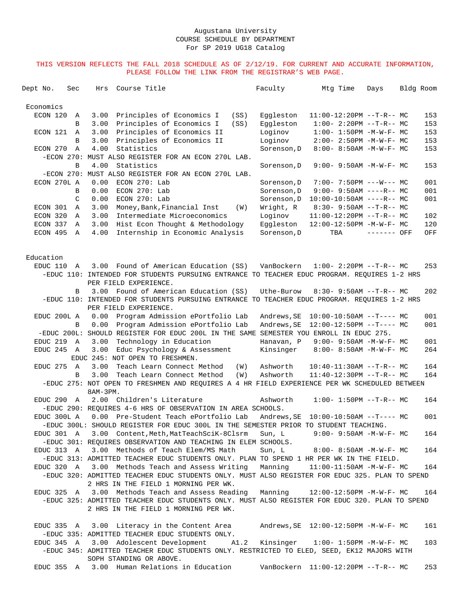| Dept No.<br>Sec     |              | Hrs      | Course Title                                                                                                          | Faculty          | Mtg Time                               | Days                             | Bldg Room |     |
|---------------------|--------------|----------|-----------------------------------------------------------------------------------------------------------------------|------------------|----------------------------------------|----------------------------------|-----------|-----|
| Economics           |              |          |                                                                                                                       |                  |                                        |                                  |           |     |
| ECON 120            | Α            | 3.00     | Principles of Economics I<br>(SS)                                                                                     | Eqqleston        |                                        | $11:00-12:20PM -T-R-- MC$        |           | 153 |
|                     | B            | 3.00     | Principles of Economics I<br>(SS)                                                                                     | Eqqleston        |                                        | $1:00-2:20PM -T-R--MC$           |           | 153 |
| ECON 121            | A            | 3.00     | Principles of Economics II                                                                                            | Loginov          |                                        | $1:00 - 1:50PM - M - W - F - MC$ |           | 153 |
|                     | B            | 3.00     | Principles of Economics II                                                                                            | Loginov          |                                        | $2:00-2:50PM -M-W-F-MC$          |           | 153 |
| ECON 270            | $\mathbb{A}$ | 4.00     | Statistics                                                                                                            | Sorenson, D      |                                        | 8:00- 8:50AM -M-W-F- MC          |           | 153 |
|                     |              |          | -ECON 270: MUST ALSO REGISTER FOR AN ECON 270L LAB.                                                                   |                  |                                        |                                  |           |     |
|                     | B            | 4.00     | Statistics                                                                                                            | Sorenson, D      |                                        | $9:00 - 9:50AM - M-W-F - MC$     |           | 153 |
|                     |              |          | -ECON 270: MUST ALSO REGISTER FOR AN ECON 270L LAB.                                                                   |                  |                                        |                                  |           |     |
| ECON 270L A         |              | 0.00     | $ECON$ 270: Lab                                                                                                       | Sorenson, D      |                                        | $7:00 - 7:50PM$ ---W--- MC       |           | 001 |
|                     | B            | 0.00     | $ECON$ 270: Lab                                                                                                       | Sorenson, D      |                                        | $9:00 - 9:50AM$ ----R-- MC       |           | 001 |
|                     | C            | 0.00     | ECON 270: Lab                                                                                                         | Sorenson, D      |                                        | $10:00-10:50AM$ ----R-- MC       |           | 001 |
| ECON 301            | Α            | 3.00     | Money, Bank, Financial Inst                                                                                           | Wright, R<br>(W) |                                        | $8:30 - 9:50AM -T-R-- MC$        |           |     |
| ECON 320            | Α            | 3.00     | Intermediate Microeconomics                                                                                           | Loginov          |                                        | $11:00-12:20PM$ --T-R-- MC       |           | 102 |
| ECON 337            | A            | 3.00     | Hist Econ Thought & Methodology                                                                                       | Eggleston        |                                        | 12:00-12:50PM -M-W-F- MC         |           | 120 |
| ECON 495            | A            | 4.00     | Internship in Economic Analysis                                                                                       | Sorenson, D      | TBA                                    | ------- OFF                      |           | OFF |
|                     |              |          |                                                                                                                       |                  |                                        |                                  |           |     |
| Education           |              |          | Found of American Education (SS)                                                                                      |                  |                                        |                                  |           |     |
| EDUC 110            | A            | 3.00     |                                                                                                                       | VanBockern       |                                        | $1:00-2:20PM -T-R--MC$           |           | 253 |
|                     |              |          | -EDUC 110: INTENDED FOR STUDENTS PURSUING ENTRANCE TO TEACHER EDUC PROGRAM. REQUIRES 1-2 HRS<br>PER FIELD EXPERIENCE. |                  |                                        |                                  |           |     |
|                     |              | 3.00     | Found of American Education (SS)                                                                                      |                  |                                        |                                  |           |     |
|                     | B            |          | -EDUC 110: INTENDED FOR STUDENTS PURSUING ENTRANCE TO TEACHER EDUC PROGRAM. REQUIRES 1-2 HRS                          | Uthe-Burow       |                                        | $8:30-9:50AM --T-R--MC$          |           | 202 |
|                     |              |          | PER FIELD EXPERIENCE.                                                                                                 |                  |                                        |                                  |           |     |
| EDUC 200L A         |              | 0.00     | Program Admission ePortfolio Lab                                                                                      | Andrews, SE      |                                        | $10:00-10:50AM$ --T---- MC       |           | 001 |
|                     | B            | 0.00     | Program Admission ePortfolio Lab                                                                                      | Andrews, SE      |                                        | $12:00-12:50PM$ --T---- MC       |           | 001 |
|                     |              |          | -EDUC 200L: SHOULD REGISTER FOR EDUC 200L IN THE SAME SEMESTER YOU ENROLL IN EDUC 275.                                |                  |                                        |                                  |           |     |
| EDUC 219 A          |              | 3.00     | Technology in Education                                                                                               | Hanavan, P       |                                        | $9:00 - 9:50AM - M-W-F - MC$     |           | 001 |
| EDUC 245 A          |              | 3.00     | Educ Psychology & Assessment                                                                                          | Kinsinger        |                                        | 8:00- 8:50AM -M-W-F- MC          |           | 264 |
|                     |              |          | EDUC 245: NOT OPEN TO FRESHMEN.                                                                                       |                  |                                        |                                  |           |     |
| EDUC <sub>275</sub> | A            | 3.00     | Teach Learn Connect Method                                                                                            | (W)<br>Ashworth  |                                        | $10:40-11:30AM$ --T-R-- MC       |           | 164 |
|                     | В            | 3.00     | Teach Learn Connect Method                                                                                            | Ashworth<br>(W)  |                                        | $11:40-12:30PM$ --T-R-- MC       |           | 164 |
|                     |              | 8AM-3PM. | -EDUC 275: NOT OPEN TO FRESHMEN AND REQUIRES A 4 HR FIELD EXPERIENCE PER WK SCHEDULED BETWEEN                         |                  |                                        |                                  |           |     |
| EDUC 290 A          |              |          | 2.00 Children's Literature                                                                                            | Ashworth         |                                        | $1:00-1:50PM -T-R--MC$           |           | 164 |
|                     |              |          | -EDUC 290: REQUIRES 4-6 HRS OF OBSERVATION IN AREA SCHOOLS.                                                           |                  |                                        |                                  |           |     |
| EDUC 300L A         |              |          | 0.00 Pre-Student Teach ePortfolio Lab                                                                                 |                  | Andrews, SE   10:00-10:50AM --T---- MC |                                  |           | 001 |
|                     |              |          | -EDUC 300L: SHOULD REGISTER FOR EDUC 300L IN THE SEMESTER PRIOR TO STUDENT TEACHING.                                  |                  |                                        |                                  |           |     |
| EDUC 301 A          |              |          | 3.00 Content, Meth, MatTeachSciK-8Clsrm                                                                               | Sun, L           |                                        | $9:00 - 9:50AM - M - W - F - MC$ |           | 164 |
|                     |              |          | -EDUC 301: REQUIRES OBSERVATION AND TEACHING IN ELEM SCHOOLS.                                                         |                  |                                        |                                  |           |     |
| EDUC 313 A          |              |          | 3.00 Methods of Teach Elem/MS Math                                                                                    | Sun, L           |                                        | $8:00 - 8:50AM - M - W - F - MC$ |           | 164 |
|                     |              |          | -EDUC 313: ADMITTED TEACHER EDUC STUDENTS ONLY. PLAN TO SPEND 1 HR PER WK IN THE FIELD.                               |                  |                                        |                                  |           |     |
| EDUC 320 A          |              |          | 3.00 Methods Teach and Assess Writing                                                                                 | Manning          |                                        | $11:00-11:50AM$ -M-W-F- MC       |           | 164 |
|                     |              |          | -EDUC 320: ADMITTED TEACHER EDUC STUDENTS ONLY. MUST ALSO REGISTER FOR EDUC 325. PLAN TO SPEND                        |                  |                                        |                                  |           |     |
|                     |              |          | 2 HRS IN THE FIELD 1 MORNING PER WK.                                                                                  |                  |                                        |                                  |           |     |
|                     |              |          | EDUC 325 A 3.00 Methods Teach and Assess Reading                                                                      | Manning          |                                        | 12:00-12:50PM -M-W-F- MC         |           | 164 |
|                     |              |          | -EDUC 325: ADMITTED TEACHER EDUC STUDENTS ONLY. MUST ALSO REGISTER FOR EDUC 320. PLAN TO SPEND                        |                  |                                        |                                  |           |     |
|                     |              |          | 2 HRS IN THE FIELD 1 MORNING PER WK.                                                                                  |                  |                                        |                                  |           |     |
| EDUC 335 A          |              |          | 3.00 Literacy in the Content Area                                                                                     |                  |                                        |                                  |           | 161 |
|                     |              |          | -EDUC 335: ADMITTED TEACHER EDUC STUDENTS ONLY.                                                                       |                  |                                        |                                  |           |     |
| EDUC 345 A          |              |          | 3.00 Adolescent Development A1.2                                                                                      |                  | Kinsinger 1:00-1:50PM -M-W-F- MC       |                                  |           | 103 |
|                     |              |          | -EDUC 345: ADMITTED TEACHER EDUC STUDENTS ONLY. RESTRICTED TO ELED, SEED, EK12 MAJORS WITH<br>SOPH STANDING OR ABOVE. |                  |                                        |                                  |           |     |
|                     |              |          | EDUC 355 A 3.00 Human Relations in Education                                                                          |                  | VanBockern  11:00-12:20PM --T-R-- MC   |                                  |           | 253 |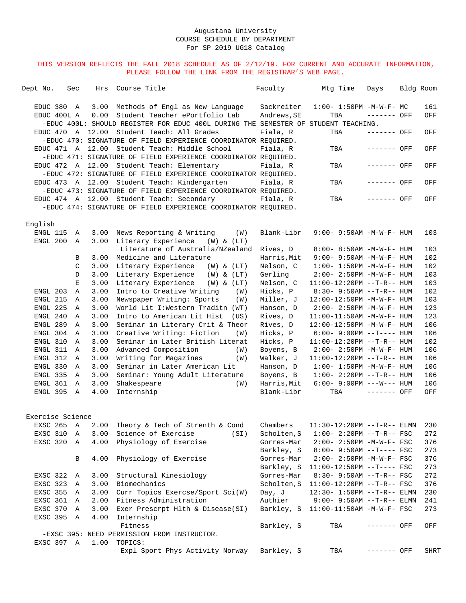| Dept No. |                      | Sec              | Hrs          | Course Title                                                                                                                                            |      | Faculty                   | Mtg Time                          | Days        | Bldg Room |            |
|----------|----------------------|------------------|--------------|---------------------------------------------------------------------------------------------------------------------------------------------------------|------|---------------------------|-----------------------------------|-------------|-----------|------------|
|          | EDUC 380             | A<br>EDUC 400L A | 3.00<br>0.00 | Methods of Engl as New Language<br>Student Teacher ePortfolio Lab<br>-EDUC 400L: SHOULD REGISTER FOR EDUC 400L DURING THE SEMESTER OF STUDENT TEACHING. |      | Sackreiter<br>Andrews, SE | $1:00 - 1:50PM -M-W-F-MC$<br>TBA  | ------- OFF |           | 161<br>OFF |
|          | EDUC 470             |                  |              | A 12.00 Student Teach: All Grades<br>-EDUC 470: SIGNATURE OF FIELD EXPERIENCE COORDINATOR REQUIRED.                                                     |      | Fiala, R                  | TBA                               | ------- OFF |           | OFF        |
|          |                      | EDUC 471 A       |              | 12.00 Student Teach: Middle School<br>-EDUC 471: SIGNATURE OF FIELD EXPERIENCE COORDINATOR REQUIRED.                                                    |      | Fiala, R                  | TBA                               | ------- OFF |           | OFF        |
|          |                      | EDUC 472 A       |              | 12.00 Student Teach: Elementary<br>-EDUC 472: SIGNATURE OF FIELD EXPERIENCE COORDINATOR REQUIRED.                                                       |      | Fiala, R                  | TBA                               | ------- OFF |           | OFF        |
|          |                      |                  |              | EDUC 473 A 12.00 Student Teach: Kindergarten<br>-EDUC 473: SIGNATURE OF FIELD EXPERIENCE COORDINATOR REQUIRED.                                          |      | Fiala, R                  | TBA                               | ------- OFF |           | OFF        |
|          |                      |                  |              | EDUC 474 A 12.00 Student Teach: Secondary<br>-EDUC 474: SIGNATURE OF FIELD EXPERIENCE COORDINATOR REQUIRED.                                             |      | Fiala, R                  | TBA                               | ------- OFF |           | OFF        |
|          | English              |                  |              |                                                                                                                                                         |      |                           |                                   |             |           |            |
|          | ENGL 115<br>ENGL 200 | A<br>A           | 3.00         | 3.00 News Reporting & Writing<br>Literary Experience (W) & (LT)                                                                                         | (W)  | Blank-Libr                | 9:00- 9:50AM -M-W-F- HUM          |             |           | 103        |
|          |                      |                  |              | Literature of Australia/NZealand                                                                                                                        |      | Rives, D                  | 8:00- 8:50AM -M-W-F- HUM          |             |           | 103        |
|          |                      | В                | 3.00         | Medicine and Literature                                                                                                                                 |      | Harris, Mit               | $9:00 - 9:50AM - M - W - F - HUM$ |             |           | 102        |
|          |                      | C                | 3.00         | Literary Experience<br>$(W)$ & $(LT)$                                                                                                                   |      | Nelson, C                 | $1:00 - 1:50PM -M-W-F - HUM$      |             |           | 102        |
|          |                      | D                | 3.00         | Literary Experience<br>$(W)$ & $(LT)$                                                                                                                   |      | Gerling                   | $2:00 - 2:50PM -M-W-F - HUM$      |             |           | 103        |
|          |                      | E                | 3.00         | Literary Experience<br>(W) & (LT)                                                                                                                       |      | Nelson, C                 | $11:00-12:20PM$ --T-R-- HUM       |             |           | 103        |
|          | ENGL 203             | Α                | 3.00         | Intro to Creative Writing                                                                                                                               | (W)  | Hicks, P                  | $8:30 - 9:50AM -T-R-- HUM$        |             |           | 102        |
|          | ENGL 215             | Α                | 3.00         | Newspaper Writing: Sports                                                                                                                               | (W)  | Miller, J                 | 12:00-12:50PM -M-W-F- HUM         |             |           | 103        |
|          | ENGL 225             | Α                | 3.00         | World Lit I:Western Traditn (WT)                                                                                                                        |      | Hanson, D                 | 2:00- 2:50PM -M-W-F- HUM          |             |           | 123        |
|          | ENGL 240             | A                | 3.00         | Intro to American Lit Hist                                                                                                                              | (US) | Rives, D                  | $11:00-11:50AM$ -M-W-F- HUM       |             |           | 123        |
|          | ENGL 289             | Α                | 3.00         | Seminar in Literary Crit & Theor                                                                                                                        |      | Rives, D                  | 12:00-12:50PM -M-W-F- HUM         |             |           | 106        |
|          | ENGL 304             | Α                | 3.00         | Creative Writing: Fiction                                                                                                                               | (W)  | Hicks, P                  | $6:00-9:00PM --T---HUM$           |             |           | 106        |
|          | ENGL 310             | Α                | 3.00         | Seminar in Later British Literat                                                                                                                        |      | Hicks, P                  | $11:00-12:20PM$ --T-R-- HUM       |             |           | 102        |
|          | ENGL 311             | Α                | 3.00         | Advanced Composition                                                                                                                                    | (W)  | Boyens, B                 | $2:00-2:50PM -M-W-F-HUM$          |             |           | 106        |
|          | ENGL 312             | Α                | 3.00         | Writing for Magazines                                                                                                                                   | (W)  | Walker, J                 | 11:00-12:20PM --T-R-- HUM         |             |           | 106        |
|          | ENGL 330             | Α                | 3.00         | Seminar in Later American Lit                                                                                                                           |      | Hanson, D                 | $1:00 - 1:50PM - M - W - F - HUM$ |             |           | 106        |
|          | ENGL 335             | A                | 3.00         | Seminar: Young Adult Literature                                                                                                                         |      | Boyens, B                 | $1:00 - 2:20PM -T-R--HUM$         |             |           | 106        |
|          | ENGL 361             | A                | 3.00         | Shakespeare                                                                                                                                             | (W)  | Harris, Mit               | $6:00 - 9:00PM$ ---W--- HUM       |             |           | 106        |
|          | ENGL 395             | A                | 4.00         | Internship                                                                                                                                              |      | Blank-Libr                | TBA                               | ------- OFF |           | OFF        |
|          |                      | Exercise Science |              |                                                                                                                                                         |      |                           |                                   |             |           |            |
|          | EXSC 265             | A                |              | 2.00 Theory & Tech of Strenth & Cond                                                                                                                    |      | Chambers                  | 11:30-12:20PM --T-R-- ELMN        |             |           | 230        |
|          | EXSC 310             | A                | 3.00         | Science of Exercise                                                                                                                                     | (SI) | Scholten, S               | $1:00 - 2:20PM -T-R--FSC$         |             |           | 272        |
|          | EXSC 320             | A                | 4.00         | Physiology of Exercise                                                                                                                                  |      | Gorres-Mar                | $2:00 - 2:50PM - M - W - F - FSC$ |             |           | 376        |
|          |                      |                  |              |                                                                                                                                                         |      | Barkley, S                | $8:00 - 9:50AM -T--- FSC$         |             |           | 273        |
|          |                      | В                | 4.00         | Physiology of Exercise                                                                                                                                  |      | Gorres-Mar                | $2:00 - 2:50PM - M - W - F - FSC$ |             |           | 376        |
|          |                      |                  |              |                                                                                                                                                         |      | Barkley, S                | $11:00-12:50PM$ --T---- FSC       |             |           | 273        |
|          | EXSC 322             | A                | 3.00         | Structural Kinesiology                                                                                                                                  |      | Gorres-Mar                | 8:30- 9:50AM --T-R-- FSC          |             |           | 272        |
|          | EXSC 323             | A                | 3.00         | Biomechanics                                                                                                                                            |      | Scholten, S               | $11:00-12:20PM$ --T-R-- FSC       |             |           | 376        |
|          |                      | EXSC 355 A       | 3.00         | Curr Topics Exercse/Sport Sci(W)                                                                                                                        |      | Day, J                    | 12:30- 1:50PM --T-R-- ELMN        |             |           | 230        |
|          |                      | EXSC 361 A       | 2.00         | Fitness Administration                                                                                                                                  |      | Authier                   | $9:00 - 9:50AM -T-R-- ELMN$       |             |           | 241        |
|          |                      | EXSC 370 A       | 3.00         | Exer Prescrpt Hlth & Disease(SI)                                                                                                                        |      | Barkley, S                | $11:00-11:50AM$ -M-W-F- FSC       |             |           | 273        |
|          |                      | EXSC 395 A       | 4.00         | Internship                                                                                                                                              |      |                           |                                   |             |           |            |
|          |                      |                  |              | Fitness                                                                                                                                                 |      | Barkley, S                | TBA                               | ------- OFF |           | OFF        |
|          |                      |                  |              | -EXSC 395: NEED PERMISSION FROM INSTRUCTOR.                                                                                                             |      |                           |                                   |             |           |            |
|          |                      | EXSC 397 A       | 1.00         | TOPICS:                                                                                                                                                 |      |                           |                                   |             |           |            |
|          |                      |                  |              | Expl Sport Phys Activity Norway                                                                                                                         |      | Barkley, S                | TBA                               | ------- OFF |           | SHRT       |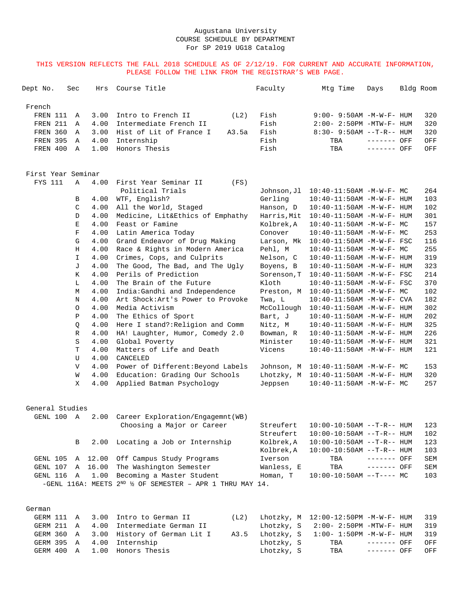THIS VERSION REFLECTS THE FALL 2018 SCHEDULE AS OF 2/12/19. FOR CURRENT AND ACCURATE INFORMATION, PLEASE FOLLOW THE LINK FROM THE REGISTRAR'S WEB PAGE.

| Dept No.   | Sec | Hrs Course Title                        |       | Faculty |     | Mtq Time | Days                            | Bldg Room |     |
|------------|-----|-----------------------------------------|-------|---------|-----|----------|---------------------------------|-----------|-----|
| French     |     |                                         |       |         |     |          |                                 |           |     |
| FREN 111 A |     | 3.00 Intro to French II                 | (L2)  | Fish    |     |          | $9:00 - 9:50$ AM $-M-W-F-$ HUM  |           | 320 |
| FREN 211 A |     | 4.00 Intermediate French II             |       | Fish    |     |          | $2:00 - 2:50PM - MTW - F - HUM$ |           | 320 |
|            |     | FREN 360 A 3.00 Hist of Lit of France I | A3.5a | Fish    |     |          | $8:30 - 9:50AM -T-R-- H I J M$  |           | 320 |
|            |     | FREN 395 A 4.00 Internship              |       | Fish    |     | TBA      | ------- OFF                     |           | OFF |
| FREN 400 A |     | 1.00 Honors Thesis                      |       | Fish    | TBA |          | ------- OFF                     |           | OFF |

| First Year Seminar |  |
|--------------------|--|
|--------------------|--|

| <b>FYS 111</b> | $\mathbb A$  | 4.00 | First Year Seminar II<br>(FS)     |             |                                  |     |
|----------------|--------------|------|-----------------------------------|-------------|----------------------------------|-----|
|                |              |      | Political Trials                  | Johnson, Jl | $10:40-11:50AM - M-W-F-MC$       | 264 |
|                | B            | 4.00 | WTF, English?                     | Gerling     | 10:40-11:50AM -M-W-F- HUM        | 103 |
|                | C            | 4.00 | All the World, Staged             | Hanson, D   | 10:40-11:50AM -M-W-F- HUM        | 102 |
|                | D            | 4.00 | Medicine, Lit&Ethics of Emphathy  | Harris, Mit | 10:40-11:50AM -M-W-F- HUM        | 301 |
|                | Е            | 4.00 | Feast or Famine                   | Kolbrek.A   | $10:40-11:50AM - M-W-F-MC$       | 157 |
|                | F            | 4.00 | Latin America Today               | Conover     | 10:40-11:50AM -M-W-F- MC         | 253 |
|                | G            | 4.00 | Grand Endeavor of Drug Making     | Larson, Mk  | $10:40-11:50AM$ -M-W-F- FSC      | 116 |
|                | H            | 4.00 | Race & Rights in Modern America   | Pehl, M     | $10:40 - 11:50$ AM $-M-W-F-MC$   | 255 |
|                | T.           | 4.00 | Crimes, Cops, and Culprits        | Nelson, C   | $10:40 - 11:50AM$ $-M-W-F-$ HUM  | 319 |
|                | $\mathbf{J}$ | 4.00 | The Good, The Bad, and The Uqly   | Boyens, B   | 10:40-11:50AM -M-W-F- HUM        | 323 |
|                | K            | 4.00 | Perils of Prediction              | Sorenson, T | $10:40 - 11:50AM$ -M-W-F- FSC    | 214 |
|                | L            | 4.00 | The Brain of the Future           | Kloth       | 10:40-11:50AM -M-W-F- FSC        | 370 |
|                | M            | 4.00 | India:Gandhi and Independence     | Preston, M  | $10:40-11:50AM$ -M-W-F- MC       | 102 |
|                | N            | 4.00 | Art Shock: Art's Power to Provoke | Twa, L      | $10:40 - 11:50$ AM $-M-W-F-$ CVA | 182 |
|                | $\Omega$     | 4.00 | Media Activism                    | McCollough  | 10:40-11:50AM -M-W-F- HUM        | 302 |
|                | P            | 4.00 | The Ethics of Sport               | Bart, J     | $10:40 - 11:50AM$ $-M-W-F-$ HUM  | 202 |
|                | Q            | 4.00 | Here I stand?: Religion and Comm  | Nitz, M     | $10:40 - 11:50$ AM $-M-W-F-$ HUM | 325 |
|                | $\mathbb{R}$ | 4.00 | HA! Laughter, Humor, Comedy 2.0   | Bowman, R   | 10:40-11:50AM -M-W-F- HUM        | 226 |
|                | S            | 4.00 | Global Poverty                    | Minister    | $10:40 - 11:50AM$ $-M-W-F-$ HUM  | 321 |
|                | T            | 4.00 | Matters of Life and Death         | Vicens      | 10:40-11:50AM -M-W-F- HUM        | 121 |
|                | U            | 4.00 | CANCELED                          |             |                                  |     |
|                | $\mathbf{V}$ | 4.00 | Power of Different: Beyond Labels | Johnson, M  | $10:40-11:50AM$ $-M-W-F-$ MC     | 153 |
|                | W            | 4.00 | Education: Grading Our Schools    | Lhotzky, M  | $10:40 - 11:50$ AM $-M-W-F-$ HUM | 320 |
|                | X            | 4.00 | Applied Batman Psychology         | Jeppsen     | $10:40-11:50AM$ $-M-W-F-MC$      | 257 |
|                |              |      |                                   |             |                                  |     |
|                |              |      |                                   |             |                                  |     |

| General Studies |  |
|-----------------|--|
|                 |  |

| GENL 100 | A            |                 | 2.00 Career Exploration/Engagemnt(WB)                                     |            |                                |             |     |
|----------|--------------|-----------------|---------------------------------------------------------------------------|------------|--------------------------------|-------------|-----|
|          |              |                 | Choosing a Major or Career                                                | Streufert  | $10:00-10:50$ AM $--T-R--$ HUM |             | 123 |
|          |              |                 |                                                                           | Streufert  | $10:00-10:50AM$ --T-R-- HUM    |             | 102 |
|          | $\mathbf{B}$ |                 | 2.00 Locating a Job or Internship                                         | Kolbrek.A  | $10:00-10:50$ AM $--T-R--$ HUM |             | 123 |
|          |              |                 |                                                                           | Kolbrek.A  | $10:00-10:50$ AM $--T-R--$ HUM |             | 103 |
|          |              |                 | GENL 105 A 12.00 Off Campus Study Programs                                | Iverson    | TBA                            | ------- OFF | SEM |
|          |              |                 | GENL 107 A 16.00 The Washington Semester                                  | Wanless, E | TBA                            | ------- OFF | SEM |
|          |              | GENL 116 A 1.00 | Becoming a Master Student                                                 | Homan, T   | $10:00-10:50AM$ --T---- MC     |             | 103 |
|          |              |                 | -GENL 116A: MEETS $2^{ND}$ $\frac{1}{2}$ OF SEMESTER - APR 1 THRU MAY 14. |            |                                |             |     |

# German

|  | GERM 111 A 3.00 Intro to German II      |            | (L2) Lhotzky, M 12:00-12:50PM -M-W-F- HUM 319 |             |     |
|--|-----------------------------------------|------------|-----------------------------------------------|-------------|-----|
|  | GERM 211 A 4.00 Intermediate German II  |            | Lhotzky, $S = 2:00 - 2:50PM - MTW - F - HUM$  |             | 319 |
|  | GERM 360 A 3.00 History of German Lit I |            | A3.5 Lhotzky, S 1:00- 1:50PM -M-W-F- HUM      |             | 319 |
|  | GERM 395 A 4.00 Internship              | Lhotzky, S |                                               |             | OFF |
|  | GERM 400 A 1.00 Honors Thesis           | Lhotzky, S | TBA                                           | ------- OFF | OFF |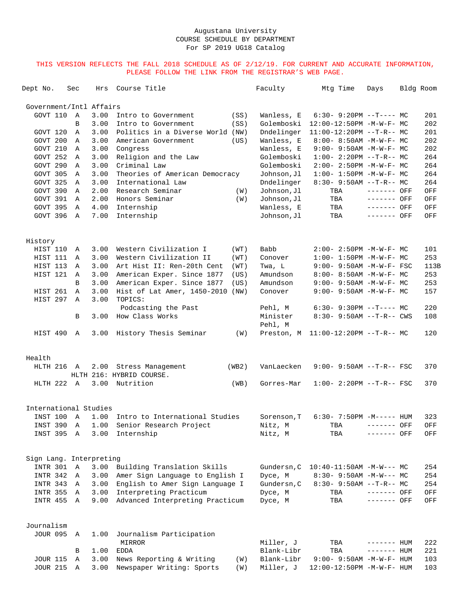| Dept No.                | Sec          | Hrs  | Course Title                            |       | Faculty             | Mtg Time                            | Days         | Bldg Room   |
|-------------------------|--------------|------|-----------------------------------------|-------|---------------------|-------------------------------------|--------------|-------------|
| Government/Intl Affairs |              |      |                                         |       |                     |                                     |              |             |
| GOVT 110                | A            | 3.00 | Intro to Government                     | (SS)  | Wanless, E          | $6:30 - 9:20PM -T--- MC$            |              | 201         |
|                         | B            | 3.00 | Intro to Government                     | (SS)  | Golemboski          | 12:00-12:50PM -M-W-F- MC            |              | 202         |
| GOVT 120                | A            | 3.00 | Politics in a Diverse World (NW)        |       | Dndelinger          | $11:00-12:20PM$ --T-R-- MC          |              | 201         |
| GOVT 200                | A            | 3.00 | American Government                     | (US)  | Wanless, E          | 8:00- 8:50AM -M-W-F- MC             |              | 202         |
| GOVT 210                | Α            | 3.00 | Congress                                |       | Wanless, E          | $9:00 - 9:50AM - M - W - F - MC$    |              | 202         |
| GOVT 252                | A            | 3.00 | Religion and the Law                    |       | Golemboski          | $1:00-2:20PM -T-R--MC$              |              | 264         |
| GOVT 290                | A            | 3.00 | Criminal Law                            |       | Golemboski          | $2:00 - 2:50PM -M-W-F-MC$           |              | 264         |
| GOVT 305                | A            | 3.00 | Theories of American Democracy          |       | Johnson, Jl         | $1:00 - 1:50PM -M-W-F - MC$         |              | 264         |
| GOVT 325                | A            | 3.00 | International Law                       |       | Dndelinger          | $8:30-9:50AM --T-R--MC$             |              | 264         |
| GOVT 390                | $\mathbb{A}$ | 2.00 | Research Seminar                        | (W)   | Johnson, Jl         | TBA                                 | ------- OFF  | OFF         |
| GOVT 391                | Α            | 2.00 | Honors Seminar                          | (W)   | Johnson, Jl         | TBA                                 | ------- OFF  | OFF         |
| GOVT 395                | A            | 4.00 | Internship                              |       | Wanless, E          | TBA                                 | ------- OFF  | OFF         |
| GOVT 396 A              |              | 7.00 | Internship                              |       | Johnson, Jl         | TBA                                 | ------- OFF  | OFF         |
| History                 |              |      |                                         |       |                     |                                     |              |             |
| HIST 110                | A            | 3.00 | Western Civilization I                  | (WT)  | Babb                | $2:00 - 2:50PM -M-W-F-MC$           |              | 101         |
| HIST 111 A              |              | 3.00 | Western Civilization II                 | (WT)  | Conover             | $1:00 - 1:50PM - M - W - F - MC$    |              | 253         |
| HIST 113                | A            | 3.00 | Art Hist II: Ren-20th Cent              | (WT)  | Twa, L              | $9:00 - 9:50AM - M - W - F - FSC$   |              | 113B        |
| HIST 121                | A            | 3.00 | American Exper. Since 1877              | (US)  | Amundson            | 8:00- 8:50AM -M-W-F- MC             |              | 253         |
|                         | B            | 3.00 | American Exper. Since 1877              | (US)  | Amundson            | $9:00 - 9:50AM - M-W-F - MC$        |              | 253         |
| HIST 261                | Α            | 3.00 | Hist of Lat Amer, 1450-2010             | (NW)  | Conover             | $9:00 - 9:50AM - M-W-F - MC$        |              | 157         |
| HIST 297 A              |              | 3.00 | TOPICS:                                 |       |                     |                                     |              |             |
|                         |              |      | Podcasting the Past                     |       | Pehl, M             | $6:30-9:30PM --T---MC$              |              | 220         |
|                         | B            | 3.00 | How Class Works                         |       | Minister<br>Pehl, M | $8:30 - 9:50AM -T-R - CWS$          |              | 108         |
| HIST 490 A              |              | 3.00 | History Thesis Seminar                  | (W)   |                     | Preston, M 11:00-12:20PM --T-R-- MC |              | 120         |
| Health                  |              |      |                                         |       |                     |                                     |              |             |
| HLTH 216 A              |              |      | 2.00 Stress Management                  | (WB2) | VanLaecken          | $9:00 - 9:50AM -T-R--FSC$           |              | 370         |
|                         |              |      | HLTH 216: HYBRID COURSE.                |       |                     |                                     |              |             |
| HLTH 222 A              |              |      | 3.00 Nutrition                          | (WB)  | Gorres-Mar          | $1:00 - 2:20PM -T-R--FSC$           |              | 370         |
| International Studies   |              |      |                                         |       |                     |                                     |              |             |
| INST 100 A              |              |      | 1.00 Intro to International Studies     |       | Sorenson.T          | $6:30 - 7:50PM -M--- HUM$           |              | 323         |
|                         |              |      | INST 390 A 1.00 Senior Research Project |       | Nitz, M             | TBA ------- OFF                     |              | ${\tt OFF}$ |
| INST 395 A              |              |      | 3.00 Internship                         |       | Nitz, M             | TBA                                 | ------- OFF  | OFF         |
|                         |              |      |                                         |       |                     |                                     |              |             |
| Sign Lang. Interpreting |              |      |                                         |       |                     |                                     |              |             |
| INTR 301                | $\mathbb A$  | 3.00 | Building Translation Skills             |       | Gundersn, C         | $10:40-11:50AM$ -M-W--- MC          |              | 254         |
| INTR 342 A              |              | 3.00 | Amer Sign Language to English I         |       | Dyce, M             | $8:30 - 9:50AM -M-W--- MC$          |              | 254         |
| INTR 343 A              |              |      | 3.00 English to Amer Sign Language I    |       | Gundersn, C         | $8:30 - 9:50AM$ --T-R-- MC          |              | 254         |
| INTR 355 A              |              |      | 3.00 Interpreting Practicum             |       | Dyce, M             | TBA                                 | ------- OFF  | OFF         |
| INTR 455 A              |              | 9.00 | Advanced Interpreting Practicum         |       | Dyce, M             | TBA                                 | ------- OFF  | OFF         |
| Journalism              |              |      |                                         |       |                     |                                     |              |             |
| JOUR 095 A              |              | 1.00 | Journalism Participation                |       |                     |                                     |              |             |
|                         |              |      | MIRROR                                  |       | Miller, J           | TBA                                 | $------$ HUM | 222         |
|                         | В            | 1.00 | <b>EDDA</b>                             |       | Blank-Libr          | TBA                                 | $------HH$   | 221         |
| <b>JOUR 115</b>         | Α            | 3.00 | News Reporting & Writing                | (W)   | Blank-Libr          | 9:00- 9:50AM -M-W-F- HUM            |              | 103         |
| <b>JOUR 215</b>         | Α            | 3.00 | Newspaper Writing: Sports               | (W)   | Miller, J           | $12:00-12:50PM -M-W-F- HUM$         |              | 103         |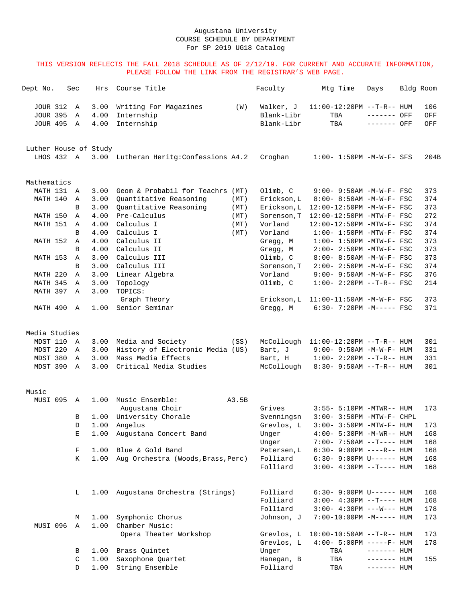| Dept No.              | Sec          | Hrs  | Course Title                           |       | Faculty     | Mtg Time                            | Days         | Bldg Room |      |
|-----------------------|--------------|------|----------------------------------------|-------|-------------|-------------------------------------|--------------|-----------|------|
| <b>JOUR 312</b>       | $\mathbb{A}$ | 3.00 | Writing For Magazines                  | (W)   | Walker, J   | $11:00-12:20PM -T-R--HUM$           |              |           | 106  |
| <b>JOUR 395</b>       | Α            | 4.00 | Internship                             |       | Blank-Libr  | TBA                                 | ------- OFF  |           | OFF  |
| <b>JOUR 495</b>       | Α            | 4.00 | Internship                             |       | Blank-Libr  | TBA                                 | ------- OFF  |           | OFF  |
| Luther House of Study |              |      |                                        |       |             |                                     |              |           |      |
| LHOS 432 A            |              |      | 3.00 Lutheran Heritg: Confessions A4.2 |       | Croghan     | $1:00 - 1:50PM - M - W - F - SFS$   |              |           | 204B |
| Mathematics           |              |      |                                        |       |             |                                     |              |           |      |
| MATH 131              | A            | 3.00 | Geom & Probabil for Teachrs (MT)       |       | Olimb, C    | $9:00 - 9:50AM - M - W - F - FSC$   |              |           | 373  |
| MATH 140              | Α            | 3.00 | Quantitative Reasoning                 | (MT)  | Erickson, L | 8:00- 8:50AM -M-W-F- FSC            |              |           | 374  |
|                       | B            | 3.00 | Quantitative Reasoning                 | (MT)  | Erickson, L | 12:00-12:50PM -M-W-F- FSC           |              |           | 373  |
| MATH 150              | Α            | 4.00 | Pre-Calculus                           | (MT)  | Sorenson, T | 12:00-12:50PM -MTW-F- FSC           |              |           | 272  |
| MATH 151              | Α            | 4.00 | Calculus I                             | (MT)  | Vorland     | 12:00-12:50PM -MTW-F- FSC           |              |           | 374  |
|                       | B            | 4.00 | Calculus I                             | (MT)  | Vorland     | $1:00-1:50PM -MTW-F-FSC$            |              |           | 374  |
| MATH 152              | Α            | 4.00 | Calculus II                            |       | Gregg, M    | $1:00-1:50PM -MTW-F-FSC$            |              |           | 373  |
|                       | B            | 4.00 | Calculus II                            |       | Gregg, M    | 2:00- 2:50PM -MTW-F- FSC            |              |           | 373  |
| MATH 153              | A            | 3.00 | Calculus III                           |       | Olimb, C    | 8:00- 8:50AM -M-W-F- FSC            |              |           | 373  |
|                       | B            | 3.00 | Calculus III                           |       | Sorenson, T | $2:00 - 2:50PM -M-W-F-$ FSC         |              |           | 374  |
| MATH 220              | Α            | 3.00 | Linear Algebra                         |       | Vorland     | $9:00 - 9:50AM - M-W-F - FSC$       |              |           | 376  |
| MATH 345              | Α            | 3.00 | Topology                               |       | Olimb, C    | $1:00-2:20PM -T-R--FSC$             |              |           | 214  |
| MATH 397              | $\mathbb{A}$ | 3.00 | TOPICS:<br>Graph Theory                |       | Erickson,L  | $11:00-11:50AM$ -M-W-F- FSC         |              |           | 373  |
| MATH 490 A            |              | 1.00 | Senior Seminar                         |       | Gregg, M    | 6:30- 7:20PM -M----- FSC            |              |           | 371  |
| Media Studies         |              |      |                                        |       |             |                                     |              |           |      |
| MDST 110              | A            | 3.00 | Media and Society                      | (SS)  | McCollough  | $11:00-12:20PM$ --T-R-- HUM         |              |           | 301  |
| MDST 220              | Α            | 3.00 | History of Electronic Media (US)       |       | Bart, J     | $9:00 - 9:50AM - M - W - F - HUM$   |              |           | 331  |
| MDST 380              | $\mathbb{A}$ | 3.00 | Mass Media Effects                     |       | Bart, H     | $1:00 - 2:20PM -T-R--HUM$           |              |           | 331  |
| MDST 390              | Α            | 3.00 | Critical Media Studies                 |       | McCollough  | $8:30 - 9:50AM -T-R-- HUM$          |              |           | 301  |
|                       |              |      |                                        |       |             |                                     |              |           |      |
| Music<br>MUSI 095     | A            | 1.00 | Music Ensemble:                        | A3.5B |             |                                     |              |           |      |
|                       |              |      | Augustana Choir                        |       | Grives      | 3:55- 5:10PM -MTWR-- HUM            |              |           | 173  |
|                       | B            |      | 1.00 University Chorale                |       | Svenningsn  | $3:00-3:50PM -MTW-F-CHPL$           |              |           |      |
|                       | D            | 1.00 | Angelus                                |       | Grevlos, L  | $3:00 - 3:50PM - MTW - F - HUM$     |              |           | 173  |
|                       | Е            | 1.00 | Augustana Concert Band                 |       | Unger       | 4:00- 5:30PM -M-WR-- HUM            |              |           | 168  |
|                       |              |      |                                        |       | Unger       | $7:00 - 7:50AM -T--- HUM$           |              |           | 168  |
|                       | F            | 1.00 | Blue & Gold Band                       |       | Petersen, L | $6:30 - 9:00PM$ ----R-- HUM         |              |           | 168  |
|                       | K            | 1.00 | Aug Orchestra (Woods, Brass, Perc)     |       | Folliard    | $6:30 - 9:00 \text{PM}$ U------ HUM |              |           | 168  |
|                       |              |      |                                        |       | Folliard    | $3:00-4:30PM -T--- HUM$             |              |           | 168  |
|                       | L            | 1.00 | Augustana Orchestra (Strings)          |       | Folliard    | $6:30 - 9:00 \text{PM}$ U------ HUM |              |           | 168  |
|                       |              |      |                                        |       | Folliard    | $3:00-4:30PM -T--- HUM$             |              |           | 168  |
|                       |              |      |                                        |       | Folliard    | $3:00 - 4:30PM$ ---W--- HUM         |              |           | 178  |
|                       | М            | 1.00 | Symphonic Chorus                       |       | Johnson, J  | $7:00-10:00PM -M---$ HUM            |              |           | 173  |
| MUSI 096              | Α            | 1.00 | Chamber Music:                         |       |             |                                     |              |           |      |
|                       |              |      | Opera Theater Workshop                 |       | Grevlos, L  | $10:00-10:50AM$ --T-R-- HUM         |              |           | 173  |
|                       |              |      |                                        |       | Grevlos, L  | $4:00 - 5:00PM$ -----F- HUM         |              |           | 178  |
|                       | В            | 1.00 | Brass Quintet                          |       | Unger       | TBA                                 | $------$ HUM |           |      |
|                       | C            | 1.00 | Saxophone Quartet                      |       | Hanegan, B  | TBA                                 | $------$ HUM |           | 155  |
|                       | D            | 1.00 | String Ensemble                        |       | Folliard    | TBA                                 | ------- HUM  |           |      |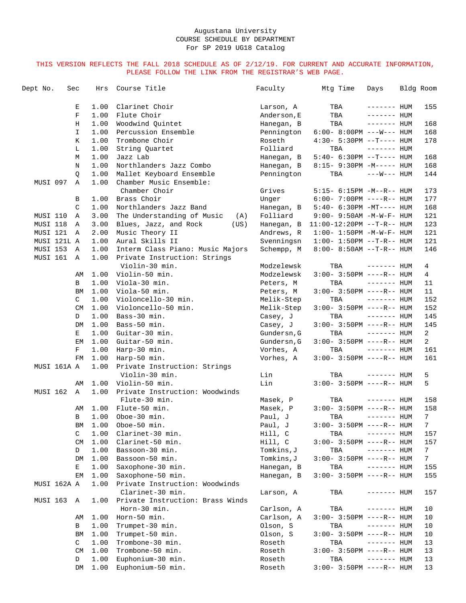| Dept No.             | Sec |              | Hrs          | Course Title                                                     | Faculty     | Mtg Time                           | Days          | Bldg Room |                |
|----------------------|-----|--------------|--------------|------------------------------------------------------------------|-------------|------------------------------------|---------------|-----------|----------------|
|                      |     | Е            | 1.00         | Clarinet Choir                                                   | Larson, A   | TBA                                | $------$ HUM  |           | 155            |
|                      |     | $\mathbf F$  | 1.00         | Flute Choir                                                      | Anderson, E | TBA                                | $------$ HUM  |           |                |
|                      |     | Η            | 1.00         | Woodwind Ouintet                                                 | Hanegan, B  | TBA                                | $------$ HUM  |           | 168            |
|                      |     | I            | 1.00         | Percussion Ensemble                                              | Pennington  | $6:00 - 8:00PM$ ---W--- HUM        |               |           | 168            |
|                      |     | Κ            | 1.00         | Trombone Choir                                                   | Roseth      | $4:30 - 5:30PM -T--- HUM$          |               |           | 178            |
|                      |     | L            | 1.00         | String Quartet                                                   | Folliard    | TBA                                | $------$ HUM  |           |                |
|                      |     | М            | 1.00         | Jazz Lab                                                         | Hanegan, B  | $5:40-6:30PM -T--- HUM$            |               |           | 168            |
|                      |     | N            | 1.00         | Northlanders Jazz Combo                                          | Hanegan, B  | 8:15- 9:30PM -M----- HUM           |               |           | 168            |
|                      |     | Q            | 1.00         | Mallet Keyboard Ensemble                                         | Pennington  | TBA                                | $---W---$ HUM |           | 144            |
| MUSI 097             |     | $\mathbb{A}$ | 1.00         | Chamber Music Ensemble:<br>Chamber Choir                         | Grives      | 5:15- 6:15PM -M--R-- HUM           |               |           | 173            |
|                      |     | В            | 1.00         | Brass Choir                                                      | Unger       | $6:00 - 7:00PM$ ----R-- HUM        |               |           | 177            |
|                      |     | C            | 1.00         | Northlanders Jazz Band                                           | Hanegan, B  | $5:40-6:30PM -MT--- HUM$           |               |           | 168            |
|                      |     | Α            | 3.00         | The Understanding of Music                                       |             |                                    |               |           |                |
| MUSI 110             |     |              |              | (A)                                                              | Folliard    | 9:00- 9:50AM -M-W-F- HUM           |               |           | 121<br>123     |
| MUSI 118             |     | Α            | 3.00<br>2.00 | Blues, Jazz, and Rock<br>(US)                                    | Hanegan, B  | $11:00-12:20PM$ --T-R-- HUM        |               |           | 121            |
| MUSI 121             |     | Α            |              | Music Theory II                                                  | Andrews, R  | $1:00 - 1:50PM - M - W - F - HUM$  |               |           |                |
| MUSI 121L A          |     |              | 1.00         | Aural Skills II                                                  | Svenningsn  | $1:00 - 1:50PM -T-R--HUM$          |               |           | 121            |
| MUSI 153<br>MUSI 161 |     | Α<br>Α       | 1.00<br>1.00 | Interm Class Piano: Music Majors<br>Private Instruction: Strings | Schempp, M  | $8:00 - 8:50AM -T-R-- HUM$         |               |           | 146            |
|                      |     |              |              | Violin-30 min.                                                   | Modzelewsk  | TBA                                | $------$ HUM  |           | 4              |
|                      |     | AΜ           | 1.00         | Violin-50 min.                                                   | Modzelewsk  | $3:00 - 3:50PM$ ----R-- HUM        |               |           | 4              |
|                      |     | В            | 1.00         | Viola-30 min.                                                    | Peters, M   | TBA                                | $------$ HUM  |           | 11             |
|                      |     | BM           | 1.00         | Viola-50 min.                                                    | Peters, M   | $3:00 - 3:50PM$ ----R-- HUM        |               |           | 11             |
|                      |     | C            | 1.00         | Violoncello-30 min.                                              | Melik-Step  | TBA                                | $------$ HUM  |           | 152            |
|                      |     | <b>CM</b>    | 1.00         | Violoncello-50 min.                                              | Melik-Step  | $3:00 - 3:50PM$ ----R-- HUM        |               |           | 152            |
|                      |     | D            | 1.00         | Bass-30 min.                                                     | Casey, J    | TBA                                | $------$ HUM  |           | 145            |
|                      |     | DM           | 1.00         | Bass-50 min.                                                     | Casey, J    | $3:00 - 3:50PM$ ----R-- HUM        |               |           | 145            |
|                      |     | Е            | 1.00         | Guitar-30 min.                                                   | Gundersn, G | TBA                                | $------$ HUM  |           | 2              |
|                      |     | EМ           | 1.00         | Guitar-50 min.                                                   | Gundersn, G | $3:00 - 3:50PM$ ----R-- HUM        |               |           | 2              |
|                      |     | F            | 1.00         | Harp-30 min.                                                     | Vorhes, A   | TBA                                | $------$ HUM  |           | 161            |
|                      |     | FM           | 1.00         | Harp-50 min.                                                     | Vorhes, A   | $3:00 - 3:50PM$ ----R-- HUM        |               |           | 161            |
| MUSI 161A A          |     |              | 1.00         | Private Instruction: Strings<br>Violin-30 min.                   | Lin         | TBA                                | $------$ HUM  |           | 5              |
|                      |     | AΜ           | 1.00         | Violin-50 min.                                                   | Lin         | $3:00 - 3:50PM$ ----R-- HUM        |               |           | 5              |
| MUSI 162             |     | A            | 1.00         | Private Instruction: Woodwinds<br>Flute-30 min.                  | Masek, P    | TBA                                | $------$ HUM  |           | 158            |
|                      |     | AΜ           | 1.00         | Flute-50 min.                                                    | Masek, P    | $3:00 - 3:50PM$ ----R-- HUM        |               |           | 158            |
|                      |     | В            | 1.00         | Oboe-30 min.                                                     | Paul, J     | TBA                                | $------$ HUM  |           | $7\phantom{.}$ |
|                      |     | BM           |              | 1.00 Oboe-50 min.                                                | Paul, J     | $3:00-3:50PM$ ----R-- HUM          |               |           | 7 <sup>7</sup> |
|                      |     | C            | 1.00         | Clarinet-30 min.                                                 | Hill, C     | TBA                                | $------$ HUM  |           | 157            |
|                      |     | CM           | 1.00         | Clarinet-50 min.                                                 | Hill, C     | $3:00-3:50PM$ ----R-- HUM          |               |           | 157            |
|                      |     | D            | 1.00         | Bassoon-30 min.                                                  | Tomkins, J  | TBA                                | $------$ HUM  |           | 7 <sup>7</sup> |
|                      |     | DM           | 1.00         | Bassoon-50 min.                                                  | Tomkins, J  | $3:00 - 3:50PM$ ----R-- HUM        |               |           | $7\phantom{.}$ |
|                      |     | Е            | 1.00         | Saxophone-30 min.                                                | Hanegan, B  | TBA                                | $------HUM$   |           | 155            |
|                      |     | EМ           | 1.00         | Saxophone-50 min.                                                | Hanegan, B  | $3:00 - 3:50PM$ ----R-- HUM        |               |           | 155            |
| MUSI 162A A          |     |              | 1.00         | Private Instruction: Woodwinds<br>Clarinet-30 min.               | Larson, A   | TBA                                | $------$ HUM  |           | 157            |
| MUSI 163             |     | Α            | 1.00         | Private Instruction: Brass Winds                                 |             |                                    |               |           |                |
|                      |     |              |              | Horn-30 min.                                                     | Carlson, A  | TBA<br>$3:00 - 3:50PM$ ----R-- HUM | $------$ HUM  |           | 10             |
|                      |     | AΜ           | 1.00         | Horn-50 min.                                                     | Carlson, A  |                                    | $------HUM$   |           | 10             |
|                      |     | В            | 1.00         | Trumpet-30 min.                                                  | Olson, S    | TBA                                |               |           | 10             |
|                      |     | ΒM           | 1.00         | Trumpet-50 min.                                                  | Olson, S    | $3:00 - 3:50PM$ ----R-- HUM        |               |           | 10             |
|                      |     | C            | 1.00         | Trombone-30 min.                                                 | Roseth      | TBA                                | $------$ HUM  |           | 13             |
|                      |     | <b>CM</b>    | 1.00         | Trombone-50 min.                                                 | Roseth      | $3:00 - 3:50PM$ ----R-- HUM        |               |           | 13             |
|                      |     | D            | 1.00         | Euphonium-30 min.                                                | Roseth      | TBA                                | $------$ HUM  |           | 13             |
|                      |     | DM           | 1.00         | Euphonium-50 min.                                                | Roseth      | $3:00 - 3:50PM$ ----R-- HUM        |               |           | 13             |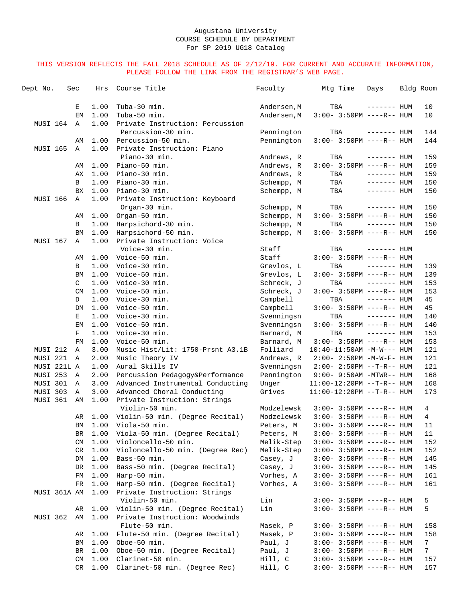| Dept No.        | Sec |           | Hrs          | Course Title                                                  | Faculty                | Mtg Time                                                 | Days         | Bldg Room       |
|-----------------|-----|-----------|--------------|---------------------------------------------------------------|------------------------|----------------------------------------------------------|--------------|-----------------|
|                 |     | Е         | 1.00         | Tuba-30 min.                                                  | Andersen, M            | TBA                                                      | $------$ HUM | 10              |
|                 |     | EM        | 1.00         | Tuba-50 min.                                                  | Andersen, M            | $3:00-3:50PM$ ----R-- HUM                                |              | 10              |
| MUSI 164        |     | Α         | 1.00         | Private Instruction: Percussion                               |                        |                                                          |              |                 |
|                 |     |           |              | Percussion-30 min.                                            | Pennington             | TBA                                                      | $------$ HUM | 144             |
|                 |     | AΜ        | 1.00         | Percussion-50 min.                                            | Pennington             | $3:00 - 3:50PM$ ----R-- HUM                              |              | 144             |
| <b>MUSI 165</b> |     | Α         | 1.00         | Private Instruction: Piano                                    |                        |                                                          |              |                 |
|                 |     |           |              | Piano-30 min.                                                 | Andrews, R             | TBA                                                      | $------$ HUM | 159             |
|                 |     | AΜ        | 1.00         | Piano-50 min.                                                 | Andrews, R             | $3:00-3:50PM$ ----R-- HUM                                |              | 159             |
|                 |     | AX        | 1.00         | Piano-30 min.                                                 | Andrews, R             | TBA                                                      | $------$ HUM | 159             |
|                 |     | В         | 1.00         | Piano-30 min.                                                 | Schempp, M             | TBA                                                      | $------$ HUM | 150             |
|                 |     | <b>BX</b> | 1.00         | Piano-30 min.                                                 | Schempp, M             | TBA                                                      | $------$ HUM | 150             |
| MUSI 166        |     | A         | 1.00         | Private Instruction: Keyboard                                 |                        |                                                          |              |                 |
|                 |     |           |              | Organ-30 min.                                                 | Schempp, M             | TBA                                                      | $------$ HUM | 150             |
|                 |     | AΜ        | 1.00         | Organ-50 min.                                                 | Schempp, M             | $3:00 - 3:50PM$ ----R-- HUM                              |              | 150             |
|                 |     | В         | 1.00         | Harpsichord-30 min.                                           | Schempp, M             | TBA                                                      | $------$ HUM | 150             |
|                 |     | BM        | 1.00         | Harpsichord-50 min.                                           | Schempp, M             | $3:00 - 3:50PM$ ----R-- HUM                              |              | 150             |
| MUSI 167        |     | Α         | 1.00         | Private Instruction: Voice                                    |                        |                                                          |              |                 |
|                 |     |           |              | Voice-30 min.                                                 | Staff                  | TBA                                                      | $------$ HUM |                 |
|                 |     | AΜ        | 1.00         | Voice-50 min.                                                 | Staff                  | $3:00 - 3:50PM$ ----R-- HUM                              |              |                 |
|                 |     | В         | 1.00         | Voice-30 min.                                                 | Grevlos, L             | TBA                                                      | $------$ HUM | 139             |
|                 |     | BM        | 1.00         | Voice-50 min.                                                 | Grevlos, L             | $3:00 - 3:50PM$ ----R-- HUM                              |              | 139             |
|                 |     | C         | 1.00         | Voice-30 min.                                                 | Schreck, J             | TBA                                                      | $------$ HUM | 153             |
|                 |     | CM        | 1.00         | Voice-50 min.                                                 | Schreck, J             | $3:00 - 3:50PM$ ----R-- HUM                              |              | 153             |
|                 |     | D         | 1.00         | Voice-30 min.                                                 | Campbell               | TBA                                                      | $------$ HUM | 45              |
|                 |     | DM<br>Е   | 1.00<br>1.00 | Voice-50 min.<br>Voice-30 min.                                | Campbell<br>Svenningsn | $3:00-3:50PM$ ----R-- HUM<br>TBA                         |              | 45              |
|                 |     | EМ        | 1.00         | Voice-50 min.                                                 | Svenningsn             | $3:00 - 3:50PM$ ----R-- HUM                              | $------$ HUM | 140<br>140      |
|                 |     | F         | 1.00         | Voice-30 min.                                                 | Barnard, M             | TBA                                                      | $------$ HUM | 153             |
|                 |     | FM        | 1.00         | Voice-50 min.                                                 | Barnard, M             | $3:00-3:50PM$ ----R-- HUM                                |              | 153             |
| MUSI 212        |     | Α         | 3.00         | Music Hist/Lit: 1750-Prsnt A3.1B                              | Folliard               | $10:40-11:50AM - M-W---$ HUM                             |              | 121             |
| MUSI 221        |     | Α         | 2.00         | Music Theory IV                                               | Andrews, R             | 2:00- 2:50PM -M-W-F- HUM                                 |              | 121             |
| MUSI 221L A     |     |           | 1.00         | Aural Skills IV                                               | Svenningsn             | $2:00 - 2:50PM -T-R--HUM$                                |              | 121             |
| MUSI 253        |     | A         | 2.00         | Percussion Pedagogy&Performance                               | Pennington             | $9:00 - 9:50AM - MTWR - - HUM$                           |              | 168             |
| MUSI 301        |     | Α         | 3.00         | Advanced Instrumental Conducting                              | Unger                  | $11:00-12:20PM$ --T-R-- HUM                              |              | 168             |
| MUSI 303        |     | Α         | 3.00         | Advanced Choral Conducting                                    | Grives                 | $11:00-12:20PM$ --T-R-- HUM                              |              | 173             |
| MUSI 361        |     | AΜ        | 1.00         | Private Instruction: Strings                                  |                        |                                                          |              |                 |
|                 |     |           |              | Violin-50 min.                                                | Modzelewsk             | $3:00 - 3:50PM$ ----R-- HUM                              |              | 4               |
|                 |     | AR        |              | 1.00 Violin-50 min. (Degree Recital)                          | Modzelewsk             | $3:00-3:50PM$ ----R-- HUM                                |              | 4               |
|                 |     |           |              | BM 1.00 Viola-50 min.                                         | Peters, M              | $3:00-3:50PM$ ----R-- HUM                                |              | 11              |
|                 |     | BR        | 1.00         | Viola-50 min. (Degree Recital)                                | Peters, M              | $3:00-3:50PM$ ----R-- HUM                                |              | 11              |
|                 |     | CM        | 1.00         | Violoncello-50 min.                                           | Melik-Step             | $3:00 - 3:50PM$ ----R-- HUM                              |              | 152             |
|                 |     | CR        | 1.00         | Violoncello-50 min. (Degree Rec)                              | Melik-Step             | $3:00 - 3:50PM$ ----R-- HUM                              |              | 152             |
|                 |     | DM        | 1.00         | Bass-50 min.                                                  | Casey, J               | $3:00 - 3:50PM$ ----R-- HUM                              |              | 145             |
|                 |     | DR        | 1.00         | Bass-50 min. (Degree Recital)                                 | Casey, J               | $3:00 - 3:50PM$ ----R-- HUM                              |              | 145             |
|                 |     | FM        | 1.00<br>1.00 | Harp-50 min.                                                  | Vorhes, A              | $3:00 - 3:50PM$ ----R-- HUM<br>$3:00-3:50PM$ ----R-- HUM |              | 161             |
| MUSI 361A AM    |     | FR        | 1.00         | Harp-50 min. (Degree Recital)<br>Private Instruction: Strings | Vorhes, A              |                                                          |              | 161             |
|                 |     |           |              | Violin-50 min.                                                | Lin                    | $3:00 - 3:50PM$ ----R-- HUM                              |              | 5               |
|                 |     | AR        | 1.00         | Violin-50 min. (Degree Recital)                               | Lin                    | $3:00-3:50PM$ ----R-- HUM                                |              | 5               |
| MUSI 362        |     | AΜ        | 1.00         | Private Instruction: Woodwinds                                |                        |                                                          |              |                 |
|                 |     |           |              | Flute-50 min.                                                 | Masek, P               | $3:00-3:50PM$ ----R-- HUM                                |              | 158             |
|                 |     | AR        | 1.00         | Flute-50 min. (Degree Recital)                                | Masek, P               | $3:00 - 3:50PM$ ----R-- HUM                              |              | 158             |
|                 |     | ΒM        | 1.00         | Oboe-50 min.                                                  | Paul, J                | $3:00 - 3:50PM$ ----R-- HUM                              |              | $7\phantom{.0}$ |
|                 |     | BR        | 1.00         | Oboe-50 min. (Degree Recital)                                 | Paul, J                | $3:00-3:50PM$ ----R-- HUM                                |              | $7\phantom{.}$  |
|                 |     | CM        | 1.00         | Clarinet-50 min.                                              | Hill, C                | $3:00 - 3:50PM$ ----R-- HUM                              |              | 157             |
|                 |     | CR        | 1.00         | Clarinet-50 min. (Degree Rec)                                 | Hill, C                | $3:00 - 3:50PM$ ----R-- HUM                              |              | 157             |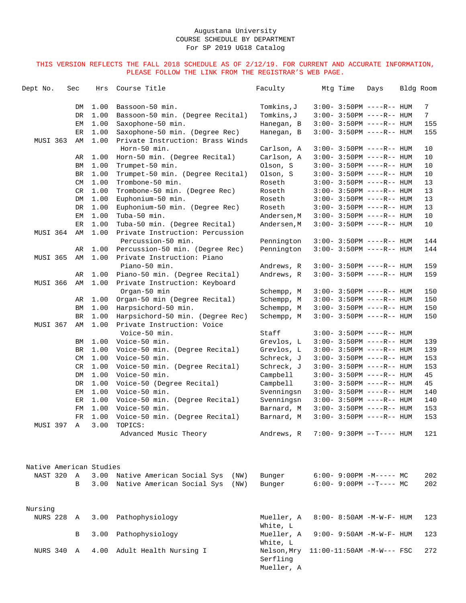| Dept No.                | Sec | Hrs          | Course Title                                                     | Faculty                               | Mtq Time                          | Days | Bldg Room |                |
|-------------------------|-----|--------------|------------------------------------------------------------------|---------------------------------------|-----------------------------------|------|-----------|----------------|
|                         | DM  | 1.00         | Bassoon-50 min.                                                  | Tomkins,J                             | $3:00-3:50PM$ ----R-- HUM         |      |           | 7              |
|                         | DR  | 1.00         | Bassoon-50 min. (Degree Recital)                                 | Tomkins, J                            | $3:00 - 3:50PM$ ----R-- HUM       |      |           | $7\phantom{.}$ |
|                         | EМ  | 1.00         | Saxophone-50 min.                                                | Hanegan, B                            | $3:00-3:50PM$ ----R-- HUM         |      |           | 155            |
|                         | ER  | 1.00         | Saxophone-50 min. (Degree Rec)                                   | Hanegan, B                            | $3:00-3:50PM$ ----R-- HUM         |      |           | 155            |
| MUSI 363                | AΜ  | 1.00         | Private Instruction: Brass Winds                                 |                                       |                                   |      |           |                |
|                         |     |              | Horn-50 min.                                                     | Carlson, A                            | $3:00 - 3:50PM$ ----R-- HUM       |      |           | 10             |
|                         | AR  | 1.00         | Horn-50 min. (Degree Recital)                                    | Carlson, A                            | $3:00 - 3:50PM$ ----R-- HUM       |      |           | 10             |
|                         | ΒM  | 1.00         | Trumpet-50 min.                                                  | Olson, S                              | $3:00 - 3:50PM$ ----R-- HUM       |      |           | 10             |
|                         | BR  | 1.00         | Trumpet-50 min. (Degree Recital)                                 | Olson, S                              | $3:00 - 3:50PM$ ----R-- HUM       |      |           | 10             |
|                         | CM  | 1.00         | Trombone-50 min.                                                 | Roseth                                | $3:00 - 3:50PM$ ----R-- HUM       |      |           | 13             |
|                         | CR  | 1.00         | Trombone-50 min. (Degree Rec)                                    | Roseth                                | $3:00 - 3:50PM$ ----R-- HUM       |      |           | 13             |
|                         | DM  | 1.00         | Euphonium-50 min.                                                | Roseth                                | $3:00-3:50PM$ ----R-- HUM         |      |           | 13             |
|                         | DR  | 1.00         | Euphonium-50 min. (Degree Rec)<br>Tuba-50 min.                   | Roseth                                | $3:00 - 3:50PM$ ----R-- HUM       |      |           | 13             |
|                         | EМ  | 1.00         |                                                                  | Andersen, M                           | $3:00 - 3:50PM$ ----R-- HUM       |      |           | 10             |
| MUSI 364                | ER  | 1.00<br>1.00 | Tuba-50 min. (Degree Recital)<br>Private Instruction: Percussion | Andersen,M                            | $3:00 - 3:50PM$ ----R-- HUM       |      |           | 10             |
|                         | AΜ  |              | Percussion-50 min.                                               | Pennington                            | $3:00 - 3:50PM$ ----R-- HUM       |      |           | 144            |
|                         | AR  | 1.00         | Percussion-50 min. (Degree Rec)                                  | Pennington                            | $3:00 - 3:50PM$ ----R-- HUM       |      |           | 144            |
| <b>MUSI 365</b>         | AΜ  | 1.00         | Private Instruction: Piano                                       |                                       |                                   |      |           |                |
|                         |     |              | Piano-50 min.                                                    | Andrews, R                            | $3:00 - 3:50PM$ ----R-- HUM       |      |           | 159            |
| MUSI 366                | AR  | 1.00<br>1.00 | Piano-50 min. (Degree Recital)                                   | Andrews, R                            | $3:00 - 3:50PM$ ----R-- HUM       |      |           | 159            |
|                         | AΜ  |              | Private Instruction: Keyboard<br>Organ-50 min                    | Schempp, M                            | $3:00 - 3:50PM$ ----R-- HUM       |      |           | 150            |
|                         | AR  | 1.00         | Organ-50 min (Degree Recital)                                    | Schempp, M                            | $3:00 - 3:50PM$ ----R-- HUM       |      |           | 150            |
|                         | ΒM  | 1.00         | Harpsichord-50 min.                                              | Schempp, M                            | $3:00-3:50PM$ ----R-- HUM         |      |           | 150            |
|                         | BR  | 1.00         | Harpsichord-50 min. (Degree Rec)                                 | Schempp, M                            | $3:00 - 3:50PM$ ----R-- HUM       |      |           | 150            |
| MUSI 367                | AΜ  | 1.00         | Private Instruction: Voice                                       |                                       |                                   |      |           |                |
|                         |     |              | Voice-50 min.                                                    | Staff                                 | $3:00 - 3:50PM$ ----R-- HUM       |      |           |                |
|                         | ΒM  | 1.00         | Voice-50 min.                                                    | Grevlos, L                            | $3:00-3:50PM$ ----R-- HUM         |      |           | 139            |
|                         | BR  | 1.00         | Voice-50 min. (Degree Recital)                                   | Grevlos, L                            | $3:00 - 3:50PM$ ----R-- HUM       |      |           | 139            |
|                         | CM  | 1.00         | Voice-50 min.                                                    | Schreck, J                            | $3:00-3:50PM$ ----R-- HUM         |      |           | 153            |
|                         | CR  | 1.00         | Voice-50 min. (Degree Recital)                                   | Schreck, J                            | $3:00 - 3:50PM$ ----R-- HUM       |      |           | 153            |
|                         | DM  | 1.00         | Voice-50 min.                                                    | Campbell                              | $3:00 - 3:50PM$ ----R-- HUM       |      |           | 45             |
|                         | DR  | 1.00         | Voice-50 (Degree Recital)                                        | Campbell                              | $3:00-3:50PM$ ----R-- HUM         |      |           | 45             |
|                         | EМ  | 1.00         | Voice-50 min.                                                    | Svenningsn                            | $3:00 - 3:50PM$ ----R-- HUM       |      |           | 140            |
|                         | ER  | 1.00         | Voice-50 min. (Degree Recital)                                   | Svenningsn                            | $3:00 - 3:50PM$ ----R-- HUM       |      |           | 140            |
|                         | FM  | 1.00         | Voice-50 min.                                                    | Barnard, M                            | $3:00 - 3:50PM$ ----R-- HUM       |      |           | 153            |
|                         | FR  | 1.00         | Voice-50 min. (Degree Recital)                                   | Barnard, M                            | $3:00 - 3:50PM$ ----R-- HUM       |      |           | 153            |
| MUSI 397 A              |     | 3.00         | TOPICS:                                                          |                                       |                                   |      |           |                |
|                         |     |              | Advanced Music Theory                                            | Andrews, R                            | $7:00 - 9:30PM -T--- HUM$         |      |           | 121            |
| Native American Studies |     |              |                                                                  |                                       |                                   |      |           |                |
| NAST 320                | A   |              | 3.00 Native American Social Sys<br>(NW)                          | Bunger                                | $6:00-9:00PM -M--- - M$           |      |           | 202            |
|                         | В   |              | 3.00 Native American Social Sys<br>(NW)                          | Bunger                                | $6:00-9:00PM$ --T---- MC          |      |           | 202            |
| Nursing                 |     |              |                                                                  |                                       |                                   |      |           |                |
| NURS 228 A              |     | 3.00         | Pathophysiology                                                  | Mueller, A<br>White, L                | 8:00- 8:50AM -M-W-F- HUM          |      |           | 123            |
|                         | В   | 3.00         | Pathophysiology                                                  | Mueller, A<br>White, L                | $9:00 - 9:50AM - M - W - F - HUM$ |      |           | 123            |
| NURS 340 A              |     | 4.00         | Adult Health Nursing I                                           | Nelson, Mry<br>Serfling<br>Mueller, A | $11:00-11:50AM$ -M-W--- FSC       |      |           | 272            |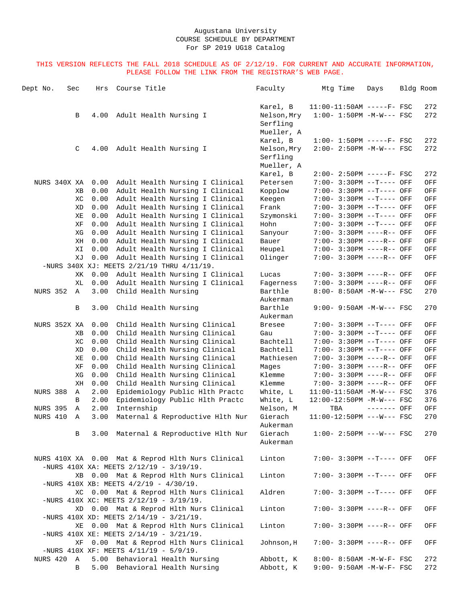| Dept No.        | Sec |           | Hrs          | Course Title                                    |                                                                    | Faculty              | Mtq Time                                                | Days        | Bldg Room  |
|-----------------|-----|-----------|--------------|-------------------------------------------------|--------------------------------------------------------------------|----------------------|---------------------------------------------------------|-------------|------------|
|                 |     |           |              |                                                 |                                                                    | Karel, B             | $11:00-11:50AM$ -----F- FSC                             |             | 272        |
|                 |     | B         | 4.00         | Adult Health Nursing I                          |                                                                    | Nelson, Mry          | $1:00 - 1:50PM -M-W--- FSC$                             |             | 272        |
|                 |     |           |              |                                                 |                                                                    | Serfling             |                                                         |             |            |
|                 |     |           |              |                                                 |                                                                    | Mueller, A           |                                                         |             |            |
|                 |     |           |              |                                                 |                                                                    | Karel, B             | $1:00 - 1:50PM$ -----F- FSC                             |             | 272        |
|                 |     | C         | 4.00         | Adult Health Nursing I                          |                                                                    | Nelson, Mry          | 2:00- 2:50PM -M-W--- FSC                                |             | 272        |
|                 |     |           |              |                                                 |                                                                    | Serfling             |                                                         |             |            |
|                 |     |           |              |                                                 |                                                                    | Mueller, A           |                                                         |             |            |
| NURS 340X XA    |     |           | 0.00         |                                                 | Adult Health Nursing I Clinical                                    | Karel, B<br>Petersen | $2:00-2:50PM$ -----F- FSC<br>7:00- 3:30PM --T---- OFF   |             | 272<br>OFF |
|                 |     | ΧB        | 0.00         |                                                 | Adult Health Nursing I Clinical                                    | Kopplow              | 7:00- 3:30PM --T---- OFF                                |             | OFF        |
|                 |     | ХC        | 0.00         |                                                 | Adult Health Nursing I Clinical                                    | Keegen               | 7:00- 3:30PM --T---- OFF                                |             | OFF        |
|                 |     | XD        | 0.00         |                                                 | Adult Health Nursing I Clinical                                    | Frank                | 7:00- 3:30PM --T---- OFF                                |             | OFF        |
|                 |     | ΧE        | 0.00         |                                                 | Adult Health Nursing I Clinical                                    | Szymonski            | 7:00- 3:30PM --T---- OFF                                |             | OFF        |
|                 |     | XF        | 0.00         |                                                 | Adult Health Nursing I Clinical                                    | Hohn                 | 7:00- 3:30PM --T---- OFF                                |             | OFF        |
|                 |     | ΧG        | 0.00         |                                                 | Adult Health Nursing I Clinical                                    | Sanyour              | 7:00- 3:30PM ----R-- OFF                                |             | OFF        |
|                 |     | ΧH        | 0.00         |                                                 | Adult Health Nursing I Clinical                                    | Bauer                | 7:00- 3:30PM ----R-- OFF                                |             | OFF        |
|                 |     | ΧI        | 0.00         |                                                 | Adult Health Nursing I Clinical                                    | Heupel               | 7:00- 3:30PM ----R-- OFF                                |             | OFF        |
|                 |     | ΧJ        | 0.00         |                                                 | Adult Health Nursing I Clinical                                    | Olinger              | 7:00- 3:30PM ----R-- OFF                                |             | OFF        |
|                 |     |           |              | -NURS 340X XJ: MEETS $2/21/19$ THRU $4/11/19$ . |                                                                    |                      |                                                         |             |            |
|                 |     | ΧK        | 0.00         |                                                 | Adult Health Nursing I Clinical                                    | Lucas                | 7:00- 3:30PM ----R-- OFF                                |             | OFF        |
|                 |     | XL        | 0.00         |                                                 | Adult Health Nursing I Clinical                                    | Fagerness            | 7:00- 3:30PM ----R-- OFF                                |             | OFF        |
| <b>NURS 352</b> |     | A         | 3.00         | Child Health Nursing                            |                                                                    | Barthle<br>Aukerman  | $8:00 - 8:50AM - M-W--- FSC$                            |             | 270        |
|                 |     | В         | 3.00         | Child Health Nursing                            |                                                                    | Barthle              | $9:00 - 9:50AM - M-W--- FSC$                            |             | 270        |
|                 |     |           |              |                                                 |                                                                    | Aukerman             |                                                         |             |            |
| NURS 352X XA    |     |           | 0.00         |                                                 | Child Health Nursing Clinical                                      | <b>Bresee</b>        | 7:00- 3:30PM --T---- OFF                                |             | OFF        |
|                 |     | <b>XB</b> | 0.00         |                                                 | Child Health Nursing Clinical                                      | Gau                  | 7:00- 3:30PM --T---- OFF                                |             | OFF        |
|                 |     | ХC        | 0.00         |                                                 | Child Health Nursing Clinical                                      | Bachtell             | 7:00- 3:30PM --T---- OFF                                |             | OFF        |
|                 |     | XD        | 0.00         |                                                 | Child Health Nursing Clinical                                      | Bachtell             | 7:00- 3:30PM --T---- OFF                                |             | OFF        |
|                 |     | ΧE        | 0.00         |                                                 | Child Health Nursing Clinical                                      | Mathiesen            | 7:00- 3:30PM ----R-- OFF                                |             | OFF        |
|                 |     | ΧF        | 0.00         |                                                 | Child Health Nursing Clinical                                      | Mages                | 7:00- 3:30PM ----R-- OFF                                |             | OFF        |
|                 |     | ΧG        | 0.00         |                                                 | Child Health Nursing Clinical                                      | Klemme               | 7:00- 3:30PM ----R-- OFF                                |             | OFF        |
| NURS 388        |     | ΧH        | 0.00         |                                                 | Child Health Nursing Clinical                                      | Klemme<br>White, L   | 7:00- 3:30PM ----R-- OFF<br>$11:00-11:50AM$ -M-W--- FSC |             | OFF<br>376 |
|                 |     | Α<br>B    | 2.00<br>2.00 |                                                 | Epidemiology Public Hlth Practc<br>Epidemiology Public Hlth Practc | White, L             | 12:00-12:50PM -M-W--- FSC                               |             | 376        |
| <b>NURS 395</b> |     | Α         | 2.00         | Internship                                      |                                                                    | Nelson, M            | TBA                                                     | ------- OFF | OFF        |
| NURS 410        |     | Α         | 3.00         |                                                 | Maternal & Reproductive Hlth Nur                                   | Gierach              | 11:00-12:50PM ---W--- FSC                               |             | 270        |
|                 |     |           |              |                                                 |                                                                    | Aukerman             |                                                         |             |            |
|                 |     | В         |              |                                                 | 3.00 Maternal & Reproductive H1th Nur                              | Gierach<br>Aukerman  | $1:00-2:50PM$ ---W--- FSC                               |             | 270        |
|                 |     |           |              |                                                 |                                                                    |                      |                                                         |             |            |
|                 |     |           |              |                                                 | NURS 410X XA 0.00 Mat & Reprod Hlth Nurs Clinical                  | Linton               | 7:00- 3:30PM --T---- OFF                                |             | OFF        |
|                 |     |           |              | -NURS 410X XA: MEETS $2/12/19 - 3/19/19$ .      |                                                                    |                      |                                                         |             |            |
|                 |     |           |              |                                                 | XB 0.00 Mat & Reprod Hlth Nurs Clinical                            | Linton               | 7:00- 3:30PM --T---- OFF                                |             | OFF        |
|                 |     |           |              | -NURS 410X XB: MEETS $4/2/19 - 4/30/19$ .       |                                                                    |                      |                                                         |             |            |
|                 |     |           |              |                                                 | XC 0.00 Mat & Reprod Hlth Nurs Clinical                            | Aldren               | 7:00- 3:30PM --T---- OFF                                |             | OFF        |
|                 |     |           |              | -NURS 410X XC: MEETS $2/12/19 - 3/19/19$ .      |                                                                    |                      |                                                         |             |            |
|                 |     |           |              | -NURS 410X XD: MEETS $2/14/19 - 3/21/19$ .      | XD 0.00 Mat & Reprod Hlth Nurs Clinical                            | Linton               | 7:00- 3:30PM ----R-- OFF                                |             | OFF        |
|                 |     | ΧE        |              |                                                 | 0.00 Mat & Reprod Hlth Nurs Clinical                               | Linton               | 7:00- 3:30PM ----R-- OFF                                |             | OFF        |
|                 |     |           |              | -NURS 410X XE: MEETS $2/14/19 - 3/21/19$ .      |                                                                    |                      |                                                         |             |            |
|                 |     | ΧF        |              |                                                 | 0.00 Mat & Reprod Hlth Nurs Clinical                               | Johnson, H           | 7:00- 3:30PM ----R-- OFF                                |             | OFF        |
|                 |     |           |              | -NURS 410X XF: MEETS $4/11/19 - 5/9/19$ .       |                                                                    |                      |                                                         |             |            |
| NURS 420 A      |     |           |              | 5.00 Behavioral Health Nursing                  |                                                                    | Abbott, K            | 8:00- 8:50AM -M-W-F- FSC                                |             | 272        |
|                 |     | B         |              | 5.00 Behavioral Health Nursing                  |                                                                    | Abbott, K            | $9:00 - 9:50AM - M - W - F - FSC$                       |             | 272        |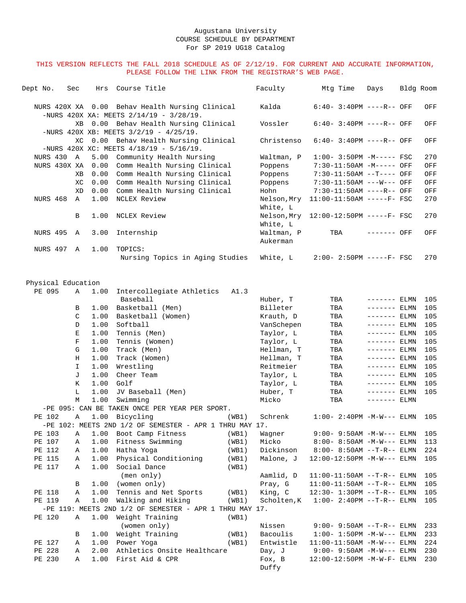| Dept No.                     | Sec         | Hrs          | Course Title                                                                                  |       | Faculty                 | Mtg Time                                                     | Days                          | Bldg Room  |
|------------------------------|-------------|--------------|-----------------------------------------------------------------------------------------------|-------|-------------------------|--------------------------------------------------------------|-------------------------------|------------|
|                              |             |              | NURS 420X XA 0.00 Behav Health Nursing Clinical<br>-NURS 420X XA: MEETS $2/14/19 - 3/28/19$ . |       | Kalda                   | $6:40-3:40PM$ ----R-- OFF                                    |                               | OFF        |
|                              | XB.         |              | 0.00 Behav Health Nursing Clinical                                                            |       | Vossler                 | $6:40-3:40PM$ ----R-- OFF                                    |                               | OFF        |
|                              |             |              | -NURS 420X XB: MEETS $3/2/19 - 4/25/19$ .                                                     |       |                         |                                                              |                               |            |
|                              | XC          |              | 0.00 Behav Health Nursing Clinical<br>-NURS 420X XC: MEETS $4/18/19 - 5/16/19$ .              |       | Christenso              | $6:40-3:40PM$ ----R-- OFF                                    |                               | OFF        |
| NURS 430 A                   |             | 5.00         | Community Health Nursing                                                                      |       | Waltman, P              | $1:00-3:50PM -M---FSC$                                       |                               | 270        |
| NURS 430X XA                 |             | 0.00         | Comm Health Nursing Clinical                                                                  |       | Poppens                 | 7:30-11:50AM -M----- OFF                                     |                               | OFF        |
|                              | ΧB          | 0.00         | Comm Health Nursing Clinical                                                                  |       | Poppens                 | 7:30-11:50AM --T---- OFF                                     |                               | OFF        |
|                              | ХC          | 0.00         | Comm Health Nursing Clinical                                                                  |       | Poppens                 | 7:30-11:50AM ---W--- OFF                                     |                               | OFF        |
|                              | XD          | 0.00         | Comm Health Nursing Clinical                                                                  |       | Hohn                    | 7:30-11:50AM ----R-- OFF                                     |                               | OFF        |
| NURS 468                     | A           | 1.00         | NCLEX Review                                                                                  |       | Nelson, Mry             | 11:00-11:50AM -----F- FSC                                    |                               | 270        |
|                              |             |              |                                                                                               |       | White, L                |                                                              |                               |            |
|                              | В           | 1.00         | NCLEX Review                                                                                  |       | Nelson, Mry<br>White, L | 12:00-12:50PM -----F- FSC                                    |                               | 270        |
| NURS 495 A                   |             | 3.00         | Internship                                                                                    |       | Waltman, P              | TBA                                                          | ------- OFF                   | OFF        |
|                              |             |              |                                                                                               |       | Aukerman                |                                                              |                               |            |
| NURS 497 A                   |             | 1.00         | TOPICS:                                                                                       |       |                         |                                                              |                               |            |
|                              |             |              | Nursing Topics in Aging Studies                                                               |       | White, L                | $2:00-2:50PM$ -----F- FSC                                    |                               | 270        |
|                              |             |              |                                                                                               |       |                         |                                                              |                               |            |
| Physical Education<br>PE 095 | Α           | 1.00         |                                                                                               | A1.3  |                         |                                                              |                               |            |
|                              |             |              | Intercollegiate Athletics<br>Baseball                                                         |       | Huber, T                | TBA                                                          | ------- ELMN                  | 105        |
|                              | В           | 1.00         | Basketball (Men)                                                                              |       | Billeter                | TBA                                                          | $------ELMN$                  | 105        |
|                              | C           | 1.00         | Basketball (Women)                                                                            |       | Krauth, D               | TBA                                                          | $------ELMN$                  | 105        |
|                              | D           | 1.00         | Softball                                                                                      |       | VanSchepen              | TBA                                                          | $------ELMN$                  | 105        |
|                              | Е           | 1.00         | Tennis (Men)                                                                                  |       | Taylor, L               | TBA                                                          | $------ELMN$                  | 105        |
|                              | $\mathbf F$ | 1.00         | Tennis (Women)                                                                                |       | Taylor, L               | TBA                                                          | $------ELMN$                  | 105        |
|                              | G           | 1.00         | Track (Men)                                                                                   |       | Hellman, T              | TBA                                                          | $------ELMN$                  | 105        |
|                              | Н           | 1.00         | Track (Women)                                                                                 |       | Hellman, T              | TBA                                                          | $------ELMN$                  | 105        |
|                              | I.          | 1.00         | Wrestling                                                                                     |       | Reitmeier               | TBA                                                          | $------$ ELMN                 | 105        |
|                              | J           | 1.00         | Cheer Team                                                                                    |       | Taylor, L               | TBA                                                          | $------$ ELMN                 | 105        |
|                              | K           | 1.00<br>1.00 | Golf<br>JV Baseball (Men)                                                                     |       | Taylor, L<br>Huber, T   | TBA                                                          | $------ELMN$                  | 105<br>105 |
|                              | L<br>M      | 1.00         | Swimming                                                                                      |       | Micko                   | TBA<br>TBA                                                   | $------ELMN$<br>$------$ ELMN |            |
|                              |             |              | -PE 095: CAN BE TAKEN ONCE PER YEAR PER SPORT.                                                |       |                         |                                                              |                               |            |
| PE 102                       | Α           |              | 1.00 Bicycling                                                                                | (WB1) | Schrenk                 | $1:00 - 2:40PM -M-W---$ ELMN                                 |                               | 105        |
|                              |             |              | -PE 102: MEETS 2ND 1/2 OF SEMESTER - APR 1 THRU MAY 17.                                       |       |                         |                                                              |                               |            |
| PE 103                       | Α           | 1.00         | Boot Camp Fitness                                                                             | (WB1) | Wagner                  | $9:00 - 9:50$ AM $-M-W---$ ELMN                              |                               | 105        |
| PE 107                       | Α           | 1.00         | Fitness Swimming                                                                              | (WB1) | Micko                   | 8:00- 8:50AM -M-W--- ELMN                                    |                               | 113        |
| PE 112                       | Α           | 1.00         | Hatha Yoga                                                                                    | (WB1) | Dickinson               | $8:00 - 8:50AM$ --T-R-- ELMN                                 |                               | 224        |
| PE 115                       | Α           | 1.00         | Physical Conditioning                                                                         | (WB1) | Malone, J               | $12:00-12:50PM -M-W---$ ELMN                                 |                               | 105        |
| PE 117                       | Α           | 1.00         | Social Dance                                                                                  | (WB1) |                         |                                                              |                               |            |
|                              |             | 1.00         | (men only)<br>(women only)                                                                    |       | Aamlid, D<br>Pray, G    | $11:00-11:50AM$ --T-R-- ELMN                                 |                               | 105        |
| PE 118                       | В<br>Α      | 1.00         | Tennis and Net Sports                                                                         | (WB1) | King, C                 | $11:00-11:50AM$ --T-R-- ELMN<br>$12:30 - 1:30PM -T-R-- ELMN$ |                               | 105<br>105 |
| PE 119                       | Α           | 1.00         | Walking and Hiking                                                                            | (WB1) | Scholten, K             | $1:00 - 2:40PM -T-R-- ELMN$                                  |                               | 105        |
|                              |             |              | -PE 119: MEETS 2ND $1/2$ OF SEMESTER - APR 1 THRU MAY 17.                                     |       |                         |                                                              |                               |            |
| PE 120                       | Α           | 1.00         | Weight Training                                                                               | (WB1) |                         |                                                              |                               |            |
|                              |             |              | (women only)                                                                                  |       | Nissen                  | $9:00 - 9:50AM$ --T-R-- ELMN                                 |                               | 233        |
|                              | В           | 1.00         | Weight Training                                                                               | (WB1) | Bacoulis                | $1:00 - 1:50PM -M-W---$ ELMN                                 |                               | 233        |
| PE 127                       | Α           | 1.00         | Power Yoga                                                                                    | (WB1) | Entwistle               | $11:00-11:50AM - M-W---$ ELMN                                |                               | 224        |
| PE 228                       | Α           | 2.00         | Athletics Onsite Healthcare                                                                   |       | Day, J                  | $9:00 - 9:50AM -M-W---$ ELMN                                 |                               | 230        |
| PE 230                       | Α           | 1.00         | First Aid & CPR                                                                               |       | Fox, B<br>Duffy         | 12:00-12:50PM -M-W-F- ELMN                                   |                               | 230        |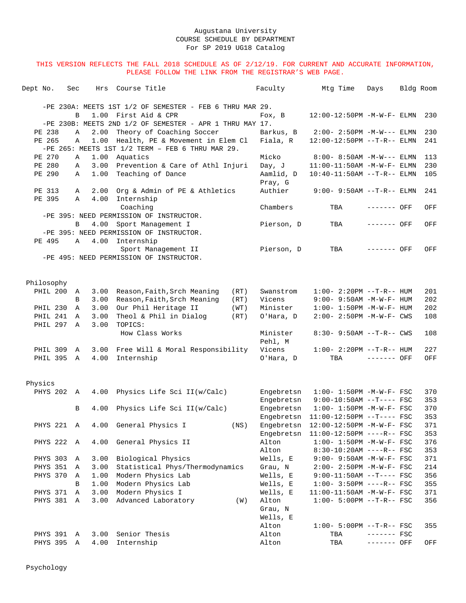| Dept No. |            | Sec          | Hrs  | Course Title                                               | Faculty              | Mtg Time                          | Days         | Bldg Room |     |
|----------|------------|--------------|------|------------------------------------------------------------|----------------------|-----------------------------------|--------------|-----------|-----|
|          |            |              |      |                                                            |                      |                                   |              |           |     |
|          |            |              |      | -PE 230A: MEETS 1ST 1/2 OF SEMESTER - FEB 6 THRU MAR 29.   |                      |                                   |              |           |     |
|          |            | B            |      | 1.00 First Aid & CPR                                       | Fox, B               | 12:00-12:50PM -M-W-F- ELMN        |              |           | 230 |
|          |            |              |      | $-PE$ 230B: MEETS 2ND 1/2 OF SEMESTER - APR 1 THRU MAY 17. |                      |                                   |              |           |     |
|          | PE 238     | $\mathbb A$  | 2.00 | Theory of Coaching Soccer                                  | Barkus, B            | $2:00-2:50PM -M-W---$ ELMN        |              |           | 230 |
|          | PE 265     | $\mathbb{A}$ | 1.00 | Health, PE & Movement in Elem Cl                           | Fiala, R             | 12:00-12:50PM --T-R-- ELMN        |              |           | 241 |
|          |            |              |      | $-PE$ 265: MEETS 1ST 1/2 TERM - FEB 6 THRU MAR 29.         |                      |                                   |              |           |     |
|          | PE 270     | Α            | 1.00 | Aquatics                                                   | Micko                | $8:00 - 8:50AM - M-W---$ ELMN     |              |           | 113 |
|          | PE 280     | Α            | 3.00 | Prevention & Care of Athl Injuri                           | Day, J               | 11:00-11:50AM -M-W-F- ELMN        |              |           | 230 |
|          | PE 290     | Α            | 1.00 | Teaching of Dance                                          | Aamlid, D<br>Pray, G | $10:40-11:50AM$ --T-R-- ELMN      |              |           | 105 |
|          | PE 313     | Α            | 2.00 | Org & Admin of PE & Athletics                              | Authier              | $9:00 - 9:50AM$ --T-R-- ELMN      |              |           | 241 |
|          | PE 395     | A            | 4.00 | Internship                                                 |                      |                                   |              |           |     |
|          |            |              |      | Coaching                                                   | Chambers             | TBA                               | ------- OFF  |           | OFF |
|          |            |              |      | -PE 395: NEED PERMISSION OF INSTRUCTOR.                    |                      |                                   |              |           |     |
|          |            | B            |      | 4.00 Sport Management I                                    | Pierson, D           | TBA                               | ------- OFF  |           | OFF |
|          |            |              |      | -PE 395: NEED PERMISSION OF INSTRUCTOR.                    |                      |                                   |              |           |     |
|          | PE 495     | $\mathbb A$  | 4.00 | Internship                                                 |                      |                                   |              |           |     |
|          |            |              |      | Sport Management II                                        | Pierson, D           | TBA                               | ------- OFF  |           | OFF |
|          |            |              |      | -PE 495: NEED PERMISSION OF INSTRUCTOR.                    |                      |                                   |              |           |     |
|          |            |              |      |                                                            |                      |                                   |              |           |     |
|          |            |              |      |                                                            |                      |                                   |              |           |     |
|          | Philosophy |              |      |                                                            |                      |                                   |              |           |     |
|          | PHIL 200   | A            | 3.00 | Reason, Faith, Srch Meaning<br>(RT)                        | Swanstrom            | $1:00-2:20PM -T-R--HUM$           |              |           | 201 |
|          |            | B            | 3.00 | Reason, Faith, Srch Meaning<br>(RT)                        | Vicens               | $9:00 - 9:50AM - M - W - F - HUM$ |              |           | 202 |
|          | PHIL 230   | Α            | 3.00 | Our Phil Heritage II<br>(WT)                               | Minister             | $1:00 - 1:50PM -M-W-F - HUM$      |              |           | 202 |
|          | PHIL 241   | $\mathbb{A}$ | 3.00 | Theol & Phil in Dialog<br>(RT)                             | O'Hara, D            | 2:00- 2:50PM -M-W-F- CWS          |              |           | 108 |
|          | PHIL 297   | A            | 3.00 | TOPICS:                                                    |                      |                                   |              |           |     |
|          |            |              |      | How Class Works                                            | Minister             | $8:30 - 9:50AM -T-R--CWS$         |              |           | 108 |
|          |            |              |      |                                                            | Pehl, M              |                                   |              |           |     |
|          | PHIL 309   | A            | 3.00 | Free Will & Moral Responsibility                           | Vicens               | $1:00 - 2:20PM -T-R--HUM$         |              |           | 227 |
|          | PHIL 395 A |              | 4.00 | Internship                                                 | O'Hara, D            | TBA                               | $------$ OFF |           | OFF |
|          |            |              |      |                                                            |                      |                                   |              |           |     |
|          |            |              |      |                                                            |                      |                                   |              |           |     |
| Physics  |            |              |      |                                                            |                      |                                   |              |           |     |
|          | PHYS 202 A |              | 4.00 | Physics Life Sci II(w/Calc)                                | Engebretsn           | $1:00 - 1:50PM - M - W - F - FSC$ |              |           | 370 |
|          |            |              |      |                                                            | Engebretsn           | $9:00-10:50AM$ --T---- FSC        |              |           | 353 |
|          |            | B            | 4.00 | Physics Life Sci II(w/Calc)                                | Engebretsn           | $1:00 - 1:50PM - M - W - F - FSC$ |              |           | 370 |
|          |            |              |      |                                                            | Engebretsn           | $11:00-12:50PM$ --T---- FSC       |              |           | 353 |
|          |            |              |      | PHYS 221 A 4.00 General Physics I<br>$($ NS $)$            | Engebretsn           | 12:00-12:50PM -M-W-F- FSC         |              |           | 371 |
|          |            |              |      |                                                            | Engebretsn           | $11:00-12:50PM$ ----R-- FSC       |              |           | 353 |
|          | PHYS 222 A |              | 4.00 | General Physics II                                         | Alton                | $1:00 - 1:50PM - M - W - F - FSC$ |              |           | 376 |
|          |            |              |      |                                                            | Alton                | $8:30-10:20AM$ ----R-- FSC        |              |           | 353 |
|          | PHYS 303 A |              | 3.00 | Biological Physics                                         | Wells, E             | 9:00- 9:50AM -M-W-F- FSC          |              |           | 371 |
|          | PHYS 351   | Α            | 3.00 | Statistical Phys/Thermodynamics                            | Grau, N              | $2:00 - 2:50PM - M - W - F - FSC$ |              |           | 214 |
|          | PHYS 370   | A            | 1.00 | Modern Physics Lab                                         | Wells, E             | $9:00-11:50AM$ --T---- FSC        |              |           | 356 |
|          |            | B            | 1.00 | Modern Physics Lab                                         | Wells, E             | $1:00-3:50PM$ ----R-- FSC         |              |           | 355 |
|          | PHYS 371   | $\mathbb{A}$ | 3.00 | Modern Physics I                                           | Wells, E             | 11:00-11:50AM -M-W-F- FSC         |              |           | 371 |
|          | PHYS 381 A |              | 3.00 | Advanced Laboratory<br>(W)                                 | Alton                | $1:00 - 5:00PM -T-R--FSC$         |              |           | 356 |
|          |            |              |      |                                                            | Grau, N              |                                   |              |           |     |
|          |            |              |      |                                                            | Wells, E             |                                   |              |           |     |
|          |            |              |      |                                                            | Alton                | $1:00 - 5:00PM -T-R--FSC$         |              |           | 355 |
|          | PHYS 391 A |              | 3.00 | Senior Thesis                                              | Alton                | TBA                               | $------$ FSC |           |     |
|          | PHYS 395 A |              | 4.00 | Internship                                                 | Alton                | TBA                               | ------- OFF  |           | OFF |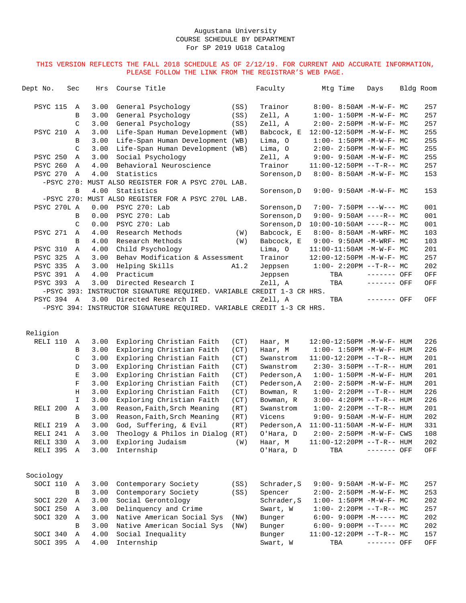| Dept No.             | Sec           | Hrs  | Course Title                                                                                       |      | Faculty     | Mtg Time                          | Days        | Bldg Room |     |
|----------------------|---------------|------|----------------------------------------------------------------------------------------------------|------|-------------|-----------------------------------|-------------|-----------|-----|
| <b>PSYC 115</b>      | Α             | 3.00 | General Psychology                                                                                 | (SS) | Trainor     | $8:00 - 8:50AM - M-W-F - MC$      |             |           | 257 |
|                      | В             | 3.00 | General Psychology                                                                                 | (SS) | Zell, A     | $1:00-1:50PM -M-W-F-MC$           |             |           | 257 |
|                      | C             | 3.00 | General Psychology                                                                                 | (SS) | Zell, A     | $2:00 - 2:50PM -M-W-F-MC$         |             |           | 257 |
| <b>PSYC 210</b>      | A             | 3.00 | Life-Span Human Development (WB)                                                                   |      | Babcock, E  | 12:00-12:50PM -M-W-F- MC          |             |           | 255 |
|                      | B             | 3.00 | Life-Span Human Development (WB)                                                                   |      | Lima, O     | $1:00 - 1:50PM -M-W-F-MC$         |             |           | 255 |
|                      | C             | 3.00 | Life-Span Human Development (WB)                                                                   |      | Lima, 0     | $2:00-2:50PM -M-W-F-MC$           |             |           | 255 |
| <b>PSYC 250</b>      | Α             | 3.00 | Social Psychology                                                                                  |      | Zell, A     | $9:00 - 9:50AM - M - W - F - MC$  |             |           | 255 |
| <b>PSYC 260</b>      | Α             | 4.00 | Behavioral Neuroscience                                                                            |      | Trainor     | $11:00-12:50PM$ --T-R-- MC        |             |           | 257 |
| PSYC 270             | A             | 4.00 | Statistics                                                                                         |      | Sorenson, D | $8:00 - 8:50AM - M - W - F - MC$  |             |           | 153 |
|                      |               |      | -PSYC 270: MUST ALSO REGISTER FOR A PSYC 270L LAB.                                                 |      |             |                                   |             |           |     |
|                      | В             | 4.00 | Statistics                                                                                         |      |             |                                   |             |           |     |
|                      |               |      | -PSYC 270: MUST ALSO REGISTER FOR A PSYC 270L LAB.                                                 |      | Sorenson, D | $9:00 - 9:50AM - M - W - F - MC$  |             |           | 153 |
| PSYC 270L A          |               | 0.00 | PSYC 270: Lab                                                                                      |      |             |                                   |             |           | 001 |
|                      |               |      | PSYC 270: Lab                                                                                      |      | Sorenson, D | $7:00 - 7:50PM$ ---W--- MC        |             |           |     |
|                      | В             | 0.00 |                                                                                                    |      | Sorenson, D | $9:00 - 9:50AM$ ----R-- MC        |             |           | 001 |
|                      | $\mathcal{C}$ | 0.00 | PSYC 270: Lab                                                                                      |      | Sorenson, D | $10:00-10:50AM$ ----R-- MC        |             |           | 001 |
| <b>PSYC 271</b>      | Α             | 4.00 | Research Methods                                                                                   | (W)  | Babcock, E  | 8:00- 8:50AM -M-WRF- MC           |             |           | 103 |
|                      | B             | 4.00 | Research Methods                                                                                   | (W)  | Babcock, E  | 9:00- 9:50AM -M-WRF- MC           |             |           | 103 |
| <b>PSYC 310</b>      | Α             | 4.00 | Child Psychology                                                                                   |      | Lima, O     | $11:00-11:50AM$ -M-W-F- MC        |             |           | 201 |
| <b>PSYC 325</b>      | Α             | 3.00 | Behav Modification & Assessment                                                                    |      | Trainor     | 12:00-12:50PM -M-W-F- MC          |             |           | 257 |
| <b>PSYC 335</b>      | Α             | 3.00 | Helping Skills                                                                                     | A1.2 | Jeppsen     | $1:00-2:20PM -T-R--MC$            |             |           | 202 |
| <b>PSYC 391</b>      | A             | 4.00 | Practicum                                                                                          |      | Jeppsen     | TBA                               | ------- OFF |           | OFF |
| PSYC 393             | A             | 3.00 | Directed Research I                                                                                |      | Zell, A     | TBA                               | ------- OFF |           | OFF |
|                      |               |      | -PSYC 393: INSTRUCTOR SIGNATURE REQUIRED. VARIABLE CREDIT 1-3 CR HRS.                              |      |             |                                   |             |           |     |
| PSYC 394 A           |               |      | 3.00 Directed Research II<br>-PSYC 394: INSTRUCTOR SIGNATURE REQUIRED. VARIABLE CREDIT 1-3 CR HRS. |      | Zell, A     | TBA                               | ------- OFF |           | OFF |
| Religion<br>RELI 110 | Α             | 3.00 | Exploring Christian Faith                                                                          | (CT) | Haar, M     | 12:00-12:50PM -M-W-F- HUM         |             |           | 226 |
|                      | В             | 3.00 | Exploring Christian Faith                                                                          | (CT) | Haar, M     | $1:00 - 1:50PM - M - W - F - HUM$ |             |           | 226 |
|                      | C             | 3.00 | Exploring Christian Faith                                                                          | (CT) | Swanstrom   | 11:00-12:20PM --T-R-- HUM         |             |           | 201 |
|                      | D             | 3.00 | Exploring Christian Faith                                                                          | (CT) | Swanstrom   | $2:30 - 3:50PM -T-R--HUM$         |             |           | 201 |
|                      | Е             | 3.00 | Exploring Christian Faith                                                                          | (CT) | Pederson, A | $1:00 - 1:50PM - M - W - F - HUM$ |             |           | 201 |
|                      | $\mathbf F$   | 3.00 | Exploring Christian Faith                                                                          | (CT) | Pederson, A | 2:00- 2:50PM -M-W-F- HUM          |             |           | 201 |
|                      | Η             | 3.00 | Exploring Christian Faith                                                                          | (CT) | Bowman, R   | $1:00 - 2:20PM -T-R--HUM$         |             |           | 226 |
|                      | $\mathbf I$   | 3.00 | Exploring Christian Faith                                                                          | (CT) | Bowman, R   | $3:00-4:20PM -T-R--HUM$           |             |           | 226 |
| RELI <sub>200</sub>  | Α             | 3.00 | Reason, Faith, Srch Meaning                                                                        | (RT) | Swanstrom   | $1:00-2:20PM -T-R--HUM$           |             |           | 201 |
|                      | В             | 3.00 | Reason, Faith, Srch Meaning                                                                        | (RT) | Vicens      | $9:00 - 9:50AM - M - W - F - HUM$ |             |           | 202 |
| RELI 219             | $\, {\bf A}$  | 3.00 | God, Suffering, & Evil                                                                             | (RT) | Pederson, A | 11:00-11:50AM -M-W-F- HUM         |             |           | 331 |
| RELI 241             | A             | 3.00 | Theology & Philos in Dialog (RT)                                                                   |      | O'Hara, D   | 2:00- 2:50PM -M-W-F- CWS          |             |           | 108 |
| RELI 330             | A             | 3.00 | Exploring Judaism                                                                                  | (W)  | Haar, M     | $11:00-12:20PM$ --T-R-- HUM       |             |           | 202 |
| RELI 395 A           |               | 3.00 | Internship                                                                                         |      | O'Hara, D   | TBA                               | ------- OFF |           | OFF |
|                      |               |      |                                                                                                    |      |             |                                   |             |           |     |
| Sociology            |               |      |                                                                                                    |      |             |                                   |             |           |     |
| SOCI 110             | A             | 3.00 | Contemporary Society                                                                               | (SS) | Schrader, S | $9:00 - 9:50AM - M - W - F - MC$  |             |           | 257 |
|                      | В             | 3.00 | Contemporary Society                                                                               | (SS) | Spencer     | 2:00- 2:50PM -M-W-F- MC           |             |           | 253 |
| SOCI 220             | Α             | 3.00 | Social Gerontology                                                                                 |      | Schrader, S | $1:00 - 1:50PM -M-W-F - MC$       |             |           | 202 |
| SOCI 250             | Α             | 3.00 | Delinquency and Crime                                                                              |      | Swart, W    | $1:00-2:20PM -T-R--MC$            |             |           | 257 |
| SOCI 320             | Α             | 3.00 | Native American Social Sys                                                                         | (NW) | Bunger      | $6:00-9:00PM -M--- - M$           |             |           | 202 |
|                      | В             | 3.00 | Native American Social Sys                                                                         | (NW) | Bunger      | $6:00-9:00PM --T---MC$            |             |           | 202 |
| SOCI 340             | Α             | 4.00 | Social Inequality                                                                                  |      | Bunger      | $11:00-12:20PM$ --T-R-- MC        |             |           | 157 |
| SOCI 395             | A             | 4.00 | Internship                                                                                         |      | Swart, W    | TBA                               | ------- OFF |           | OFF |
|                      |               |      |                                                                                                    |      |             |                                   |             |           |     |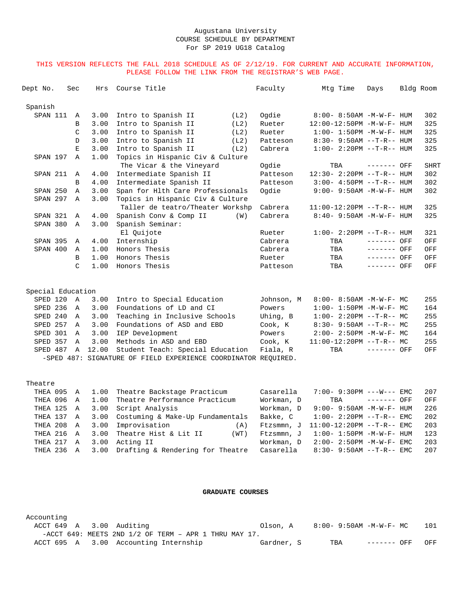#### THIS VERSION REFLECTS THE FALL 2018 SCHEDULE AS OF 2/12/19. FOR CURRENT AND ACCURATE INFORMATION, PLEASE FOLLOW THE LINK FROM THE REGISTRAR'S WEB PAGE.

| Dept No.          | Sec            | Hrs   | Course Title                                                   |      | Faculty    | Mtg Time                          | Days         | Bldg Room |             |
|-------------------|----------------|-------|----------------------------------------------------------------|------|------------|-----------------------------------|--------------|-----------|-------------|
| Spanish           |                |       |                                                                |      |            |                                   |              |           |             |
| SPAN 111          | Α              | 3.00  | Intro to Spanish II                                            | (L2) | Ogdie      | 8:00- 8:50AM -M-W-F- HUM          |              |           | 302         |
|                   | B              | 3.00  | Intro to Spanish II                                            | (L2) | Rueter     | 12:00-12:50PM -M-W-F- HUM         |              |           | 325         |
|                   | $\mathcal{C}$  | 3.00  | Intro to Spanish II                                            | (L2) | Rueter     | $1:00 - 1:50PM -M-W-F - HUM$      |              |           | 325         |
|                   | D              | 3.00  | Intro to Spanish II                                            | (L2) | Patteson   | $8:30 - 9:50AM$ --T-R-- HUM       |              |           | 325         |
|                   | E              | 3.00  | Intro to Spanish II                                            | (L2) | Cabrera    | $1:00 - 2:20PM -T-R--HUM$         |              |           | 325         |
| SPAN 197          | $\Delta$       | 1.00  | Topics in Hispanic Civ & Culture                               |      |            |                                   |              |           |             |
|                   |                |       | The Vicar & the Vineyard                                       |      | Oqdie      | TBA                               | ------- OFF  |           | <b>SHRT</b> |
| SPAN 211          | Α              | 4.00  | Intermediate Spanish II                                        |      | Patteson   | 12:30- 2:20PM --T-R-- HUM         |              |           | 302         |
|                   | B              | 4.00  | Intermediate Spanish II                                        |      | Patteson   | $3:00-4:50PM -T-R--HUM$           |              |           | 302         |
| SPAN 250          | $\mathbb{A}$   | 3.00  | Span for Hlth Care Professionals                               |      | Ogdie      | $9:00 - 9:50AM - M - W - F - HUM$ |              |           | 302         |
| SPAN 297          | $\mathbb{A}$   | 3.00  | Topics in Hispanic Civ & Culture                               |      |            |                                   |              |           |             |
|                   |                |       | Taller de teatro/Theater Workshp                               |      | Cabrera    | $11:00-12:20PM$ --T-R-- HUM       |              |           | 325         |
| SPAN 321          | $\mathbf{A}$   | 4.00  | Spanish Conv & Comp II                                         | (W)  | Cabrera    | $8:40 - 9:50AM - M - W - F - HUM$ |              |           | 325         |
| SPAN 380          | $\mathbb{A}$   | 3.00  | Spanish Seminar:                                               |      |            |                                   |              |           |             |
|                   |                |       | El Quijote                                                     |      | Rueter     | $1:00 - 2:20PM -T-R--HUM$         |              |           | 321         |
| <b>SPAN 395</b>   | Α              | 4.00  | Internship                                                     |      | Cabrera    | TBA                               | $------$ OFF |           | OFF         |
| SPAN 400          | Α              | 1.00  | Honors Thesis                                                  |      | Cabrera    | TBA                               | ------- OFF  |           | OFF         |
|                   | B              | 1.00  | Honors Thesis                                                  |      | Rueter     | TBA                               | ------- OFF  |           | OFF         |
|                   | C              | 1.00  | Honors Thesis                                                  |      | Patteson   | TBA                               | ------- OFF  |           | OFF         |
| Special Education |                |       |                                                                |      |            |                                   |              |           |             |
| SPED 120          | $\overline{A}$ | 3.00  | Intro to Special Education                                     |      | Johnson, M | $8:00 - 8:50AM - M - W - F - MC$  |              |           | 255         |
| SPED 236          | A              | 3.00  | Foundations of LD and CI                                       |      | Powers     | $1:00-1:50PM -M-W-F-MC$           |              |           | 164         |
| SPED 240          | A              | 3.00  | Teaching in Inclusive Schools                                  |      | Uhing, B   | $1:00-2:20PM -T-R--MC$            |              |           | 255         |
| SPED 257          | Α              | 3.00  | Foundations of ASD and EBD                                     |      | Cook, K    | $8:30-9:50AM --T-R--MC$           |              |           | 255         |
| SPED 301          | $\mathbb{A}$   | 3.00  | IEP Development                                                |      | Powers     | $2:00 - 2:50PM -M-W-F - MC$       |              |           | 164         |
| SPED 357          | $\mathbb{A}$   | 3.00  | Methods in ASD and EBD                                         |      | Cook, K    | $11:00-12:20PM$ --T-R-- MC        |              |           | 255         |
| SPED 487          | $\mathbb{A}$   | 12.00 | Student Teach: Special Education                               |      | Fiala, R   | TBA                               | ------- OFF  |           | OFF         |
|                   |                |       | -SPED 487: SIGNATURE OF FIELD EXPERIENCE COORDINATOR REOUIRED. |      |            |                                   |              |           |             |
| Theatre           |                |       |                                                                |      |            |                                   |              |           |             |
| THEA 095          | Α              | 1.00  | Theatre Backstage Practicum                                    |      | Casarella  | 7:00- 9:30PM ---W--- EMC          |              |           | 207         |
| THEA 096          | Α              | 1.00  | Theatre Performance Practicum                                  |      | Workman, D | TBA                               | ------- OFF  |           | OFF         |
| THEA 125          | $\overline{A}$ | 3.00  | Script Analysis                                                |      | Workman, D | 9:00- 9:50AM -M-W-F- HUM          |              |           | 226         |
|                   |                |       |                                                                |      |            |                                   |              |           |             |

|  | THEA 125 A 3.00 Script Analysis                                                    | Workman, D 9:00-9:50AM -M-W-F-HUM 226      |     |
|--|------------------------------------------------------------------------------------|--------------------------------------------|-----|
|  | THEA 137 A 3.00 Costuming & Make-Up Fundamentals                                   |                                            | 202 |
|  | THEA 208 A 3.00 Improvisation                                                      | $(A)$ Ftzsmmn, J $11:00-12:20PM -T-R--EMC$ | 203 |
|  | THEA 216 A 3.00 Theatre Hist & Lit II<br>(WT)                                      | Ftzsmmn, J 1:00-1:50PM -M-W-F- HUM         | 123 |
|  | THEA 217 A 3.00 Acting II                                                          | Workman. $D = 2:00 - 2:50PM -M-W-F-EMC$    | 203 |
|  | THEA 236 A 3.00 Drafting & Rendering for Theatre Casarella 8:30-9:50AM --T-R-- EMC |                                            | 207 |
|  |                                                                                    |                                            |     |

### **GRADUATE COURSES**

Accounting<br>ACCT 649 A 3.00 Auditing Olson, A  $8:00-9:50AM -M-W-F-MC$  101 -ACCT 649: MEETS 2ND 1/2 OF TERM – APR 1 THRU MAY 17. ACCT 695 A 3.00 Accounting Internship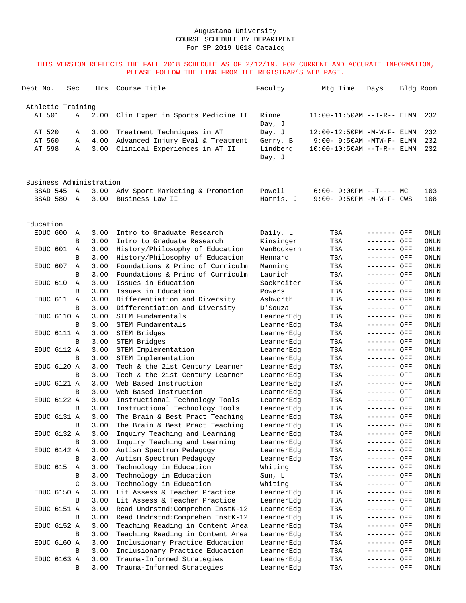| Dept No.                | Sec |   | Hrs          | Course Title                                            | Faculty                  | Mtg Time                     | Days                       | Bldg Room    |
|-------------------------|-----|---|--------------|---------------------------------------------------------|--------------------------|------------------------------|----------------------------|--------------|
| Athletic Training       |     |   |              |                                                         |                          |                              |                            |              |
| AT 501                  |     | Α | 2.00         | Clin Exper in Sports Medicine II                        | Rinne<br>Day, J          | $11:00-11:50AM$ --T-R-- ELMN |                            | 232          |
| AT 520                  |     | Α | 3.00         | Treatment Techniques in AT                              | Day, J                   | 12:00-12:50PM -M-W-F- ELMN   |                            | 232          |
| AT 560                  |     | Α | 4.00         | Advanced Injury Eval & Treatment                        | Gerry, B                 | $9:00-9:50AM -MTW-F-ELMN$    |                            | 232          |
| AT 598                  |     | Α | 3.00         | Clinical Experiences in AT II                           | Lindberg<br>Day, J       | $10:00-10:50AM$ --T-R-- ELMN |                            | 232          |
| Business Administration |     |   |              |                                                         |                          |                              |                            |              |
| BSAD 545                |     | A | 3.00         | Adv Sport Marketing & Promotion                         | Powell                   | $6:00-9:00PM$ --T---- MC     |                            | 103          |
| BSAD 580 A              |     |   | 3.00         | Business Law II                                         | Harris, J                | $9:00 - 9:50PM -M-W-F - CWS$ |                            | 108          |
| Education               |     |   |              |                                                         |                          |                              |                            |              |
| EDUC 600                |     | Α | 3.00         | Intro to Graduate Research                              | Daily, L                 | TBA                          | ------- OFF                | ONLN         |
|                         |     | B | 3.00         | Intro to Graduate Research                              | Kinsinger                | TBA                          | ------- OFF                | ONLN         |
| EDUC 601                |     | Α | 3.00         | History/Philosophy of Education                         | VanBockern               | TBA                          | ------- OFF                | ONLN         |
|                         |     | В | 3.00         | History/Philosophy of Education                         | Hennard                  | TBA                          | ------- OFF                | ONLN         |
| EDUC 607                |     | Α | 3.00         | Foundations & Princ of Curriculm                        | Manning                  | TBA                          | ------- OFF                | ONLN         |
|                         |     | В | 3.00         | Foundations & Princ of Curriculm                        | Laurich                  | TBA                          | ------- OFF                | ONLN         |
| EDUC 610                |     | Α | 3.00         | Issues in Education                                     | Sackreiter               | TBA                          | ------- OFF                | ONLN         |
|                         |     | B | 3.00         | Issues in Education                                     | Powers                   | TBA                          | ------- OFF                | ONLN         |
| EDUC 611                |     | Α | 3.00         | Differentiation and Diversity                           | Ashworth                 | TBA                          | ------- OFF                | ONLN         |
|                         |     | B | 3.00         | Differentiation and Diversity                           | D'Souza                  | TBA                          | ------- OFF                | ONLN         |
| EDUC 6110 A             |     |   | 3.00         | STEM Fundamentals                                       | LearnerEdg               | TBA                          | ------- OFF                | ONLN         |
|                         |     | B | 3.00         | STEM Fundamentals                                       | LearnerEdg               | TBA                          | ------- OFF                | ONLN         |
| EDUC 6111 A             |     |   | 3.00         | STEM Bridges                                            | LearnerEdg               | TBA                          | ------- OFF                | ONLN         |
|                         |     | B | 3.00         | STEM Bridges                                            | LearnerEdg               | TBA                          | ------- OFF                | ONLN         |
| EDUC 6112 A             |     |   | 3.00         | STEM Implementation                                     | LearnerEdg               | TBA                          | ------- OFF                | ONLN         |
|                         |     | В | 3.00         | STEM Implementation                                     | LearnerEdq               | TBA                          | ------- OFF                | ONLN         |
| EDUC 6120 A             |     |   | 3.00         | Tech & the 21st Century Learner                         | LearnerEdg               | TBA                          | ------- OFF                | ONLN         |
|                         |     | B | 3.00         | Tech & the 21st Century Learner                         | LearnerEdg               | TBA                          | ------- OFF                | ONLN         |
| EDUC 6121 A             |     |   | 3.00         | Web Based Instruction                                   | LearnerEdg               | TBA                          | ------- OFF                | ONLN         |
|                         |     | B | 3.00         | Web Based Instruction<br>Instructional Technology Tools | LearnerEdg               | TBA                          | ------- OFF                | ONLN         |
| EDUC 6122 A             |     | B | 3.00<br>3.00 | Instructional Technology Tools                          | LearnerEdg<br>LearnerEdg | TBA<br>TBA                   | ------- OFF<br>------- OFF | ONLN<br>ONLN |
| EDUC 6131 A             |     |   | 3.00         | The Brain & Best Pract Teaching                         | LearnerEdg               | TBA                          | ------- OFF                | ONLN         |
|                         |     | B | 3.00         | The Brain & Best Pract Teaching                         | LearnerEdg               | TBA                          | ------- OFF                | ONLN         |
| EDUC 6132 A             |     |   | 3.00         | Inquiry Teaching and Learning                           | LearnerEdg               | TBA                          | ------- OFF                | ONLN         |
|                         |     | B | 3.00         | Inquiry Teaching and Learning                           | LearnerEdq               | TBA                          | ------- OFF                | ONLN         |
| EDUC 6142 A             |     |   | 3.00         | Autism Spectrum Pedagogy                                | LearnerEdg               | TBA                          | ------- OFF                | ONLN         |
|                         |     | В | 3.00         | Autism Spectrum Pedagogy                                | LearnerEdg               | TBA                          | ------- OFF                | ONLN         |
| EDUC 615                |     | Α | 3.00         | Technology in Education                                 | Whiting                  | TBA                          | ------- OFF                | ONLN         |
|                         |     | B | 3.00         | Technology in Education                                 | Sun, L                   | TBA                          | ------- OFF                | ONLN         |
|                         |     | C | 3.00         | Technology in Education                                 | Whiting                  | TBA                          | ------- OFF                | ONLN         |
| EDUC 6150 A             |     |   | 3.00         | Lit Assess & Teacher Practice                           | LearnerEdg               | TBA                          | ------- OFF                | ONLN         |
|                         |     | В | 3.00         | Lit Assess & Teacher Practice                           | LearnerEdg               | TBA                          | ------- OFF                | ONLN         |
| EDUC 6151 A             |     |   | 3.00         | Read Undrstnd: Comprehen InstK-12                       | LearnerEdg               | TBA                          | ------- OFF                | ONLN         |
|                         |     | В | 3.00         | Read Undrstnd: Comprehen InstK-12                       | LearnerEdg               | TBA                          | ------- OFF                | ONLN         |
| EDUC 6152 A             |     |   | 3.00         | Teaching Reading in Content Area                        | LearnerEdg               | TBA                          | ------- OFF                | ONLN         |
|                         |     | B | 3.00         | Teaching Reading in Content Area                        | LearnerEdg               | TBA                          | ------- OFF                | ONLN         |
| EDUC 6160 A             |     |   | 3.00         | Inclusionary Practice Education                         | LearnerEdg               | TBA                          | ------- OFF                | ONLN         |
|                         |     | B | 3.00         | Inclusionary Practice Education                         | LearnerEdg               | TBA                          | ------- OFF                | ONLN         |
| EDUC 6163 A             |     |   | 3.00         | Trauma-Informed Strategies                              | LearnerEdg               | TBA                          | ------- OFF                | ONLN         |
|                         |     | В | 3.00         | Trauma-Informed Strategies                              | LearnerEdg               | TBA                          | ------- OFF                | ONLN         |